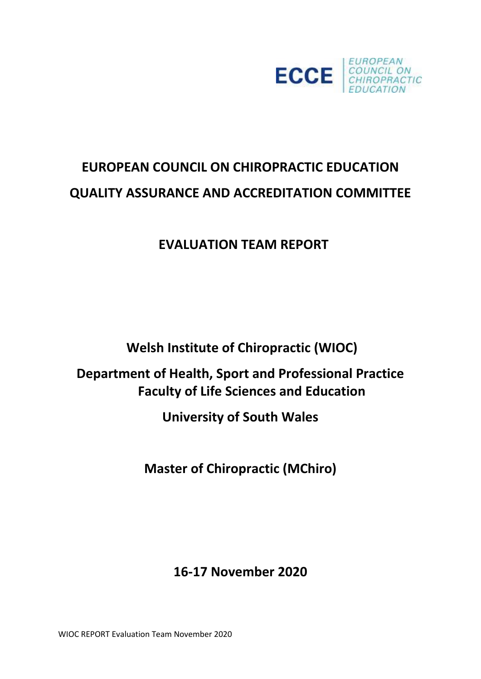

# **EUROPEAN COUNCIL ON CHIROPRACTIC EDUCATION QUALITY ASSURANCE AND ACCREDITATION COMMITTEE**

## **EVALUATION TEAM REPORT**

**Welsh Institute of Chiropractic (WIOC)**

### **Department of Health, Sport and Professional Practice Faculty of Life Sciences and Education**

**University of South Wales** 

**Master of Chiropractic (MChiro)**

### **16-17 November 2020**

WIOC REPORT Evaluation Team November 2020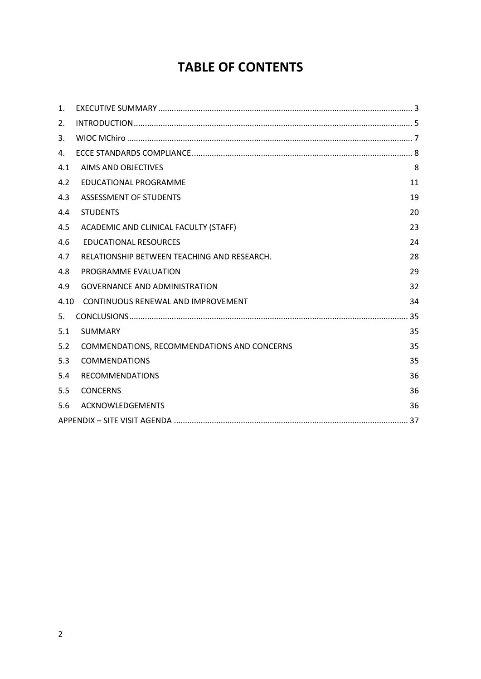### **TABLE OF CONTENTS**

| $\mathbf{1}$ . |                                             |    |  |  |
|----------------|---------------------------------------------|----|--|--|
| 2.             |                                             |    |  |  |
| 3.             |                                             |    |  |  |
| 4.             |                                             |    |  |  |
| 4.1            | AIMS AND OBJECTIVES                         | 8  |  |  |
| 4.2            | EDUCATIONAL PROGRAMME                       | 11 |  |  |
| 4.3            | ASSESSMENT OF STUDENTS                      | 19 |  |  |
| 4.4            | <b>STUDENTS</b>                             | 20 |  |  |
| 4.5            | ACADEMIC AND CLINICAL FACULTY (STAFF)       | 23 |  |  |
| 4.6            | <b>EDUCATIONAL RESOURCES</b>                | 24 |  |  |
| 4.7            | RELATIONSHIP BETWEEN TEACHING AND RESEARCH. | 28 |  |  |
| 4.8            | PROGRAMME EVALUATION                        | 29 |  |  |
| 4.9            | <b>GOVERNANCE AND ADMINISTRATION</b>        | 32 |  |  |
| 4.10           | CONTINUOUS RENEWAL AND IMPROVEMENT          | 34 |  |  |
| 5.             |                                             |    |  |  |
| 5.1            | <b>SUMMARY</b>                              | 35 |  |  |
| 5.2            | COMMENDATIONS, RECOMMENDATIONS AND CONCERNS | 35 |  |  |
| 5.3            | <b>COMMENDATIONS</b>                        | 35 |  |  |
| 5.4            | <b>RECOMMENDATIONS</b>                      | 36 |  |  |
| 5.5            | <b>CONCERNS</b>                             | 36 |  |  |
| 5.6            | ACKNOWLEDGEMENTS                            | 36 |  |  |
|                |                                             |    |  |  |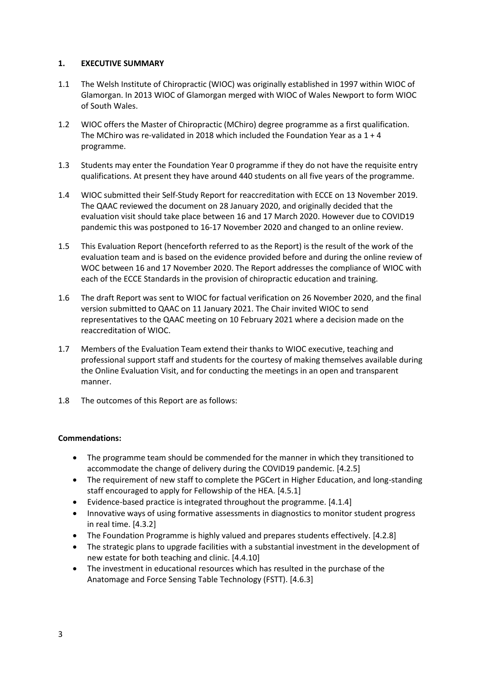#### <span id="page-2-0"></span>**1. EXECUTIVE SUMMARY**

- 1.1 The Welsh Institute of Chiropractic (WIOC) was originally established in 1997 within WIOC of Glamorgan. In 2013 WIOC of Glamorgan merged with WIOC of Wales Newport to form WIOC of South Wales.
- 1.2 WIOC offers the Master of Chiropractic (MChiro) degree programme as a first qualification. The MChiro was re-validated in 2018 which included the Foundation Year as a  $1 + 4$ programme.
- 1.3 Students may enter the Foundation Year 0 programme if they do not have the requisite entry qualifications. At present they have around 440 students on all five years of the programme.
- 1.4 WIOC submitted their Self-Study Report for reaccreditation with ECCE on 13 November 2019. The QAAC reviewed the document on 28 January 2020, and originally decided that the evaluation visit should take place between 16 and 17 March 2020. However due to COVID19 pandemic this was postponed to 16-17 November 2020 and changed to an online review.
- 1.5 This Evaluation Report (henceforth referred to as the Report) is the result of the work of the evaluation team and is based on the evidence provided before and during the online review of WOC between 16 and 17 November 2020. The Report addresses the compliance of WIOC with each of the ECCE Standards in the provision of chiropractic education and training.
- 1.6 The draft Report was sent to WIOC for factual verification on 26 November 2020, and the final version submitted to QAAC on 11 January 2021. The Chair invited WIOC to send representatives to the QAAC meeting on 10 February 2021 where a decision made on the reaccreditation of WIOC.
- 1.7 Members of the Evaluation Team extend their thanks to WIOC executive, teaching and professional support staff and students for the courtesy of making themselves available during the Online Evaluation Visit, and for conducting the meetings in an open and transparent manner.
- 1.8 The outcomes of this Report are as follows:

#### **Commendations:**

- The programme team should be commended for the manner in which they transitioned to accommodate the change of delivery during the COVID19 pandemic. [4.2.5]
- The requirement of new staff to complete the PGCert in Higher Education, and long-standing staff encouraged to apply for Fellowship of the HEA. [4.5.1]
- Evidence-based practice is integrated throughout the programme. [4.1.4]
- Innovative ways of using formative assessments in diagnostics to monitor student progress in real time. [4.3.2]
- The Foundation Programme is highly valued and prepares students effectively. [4.2.8]
- The strategic plans to upgrade facilities with a substantial investment in the development of new estate for both teaching and clinic. [4.4.10]
- The investment in educational resources which has resulted in the purchase of the Anatomage and Force Sensing Table Technology (FSTT). [4.6.3]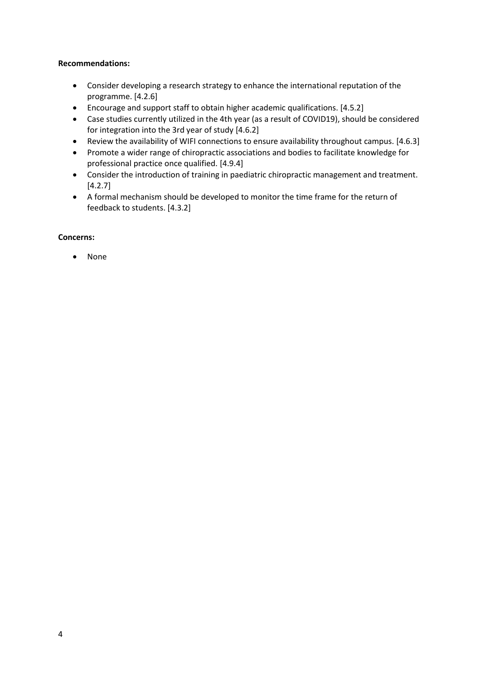#### **Recommendations:**

- Consider developing a research strategy to enhance the international reputation of the programme. [4.2.6]
- Encourage and support staff to obtain higher academic qualifications. [4.5.2]
- Case studies currently utilized in the 4th year (as a result of COVID19), should be considered for integration into the 3rd year of study [4.6.2]
- Review the availability of WIFI connections to ensure availability throughout campus. [4.6.3]
- Promote a wider range of chiropractic associations and bodies to facilitate knowledge for professional practice once qualified. [4.9.4]
- Consider the introduction of training in paediatric chiropractic management and treatment. [4.2.7]
- A formal mechanism should be developed to monitor the time frame for the return of feedback to students. [4.3.2]

#### **Concerns:**

• None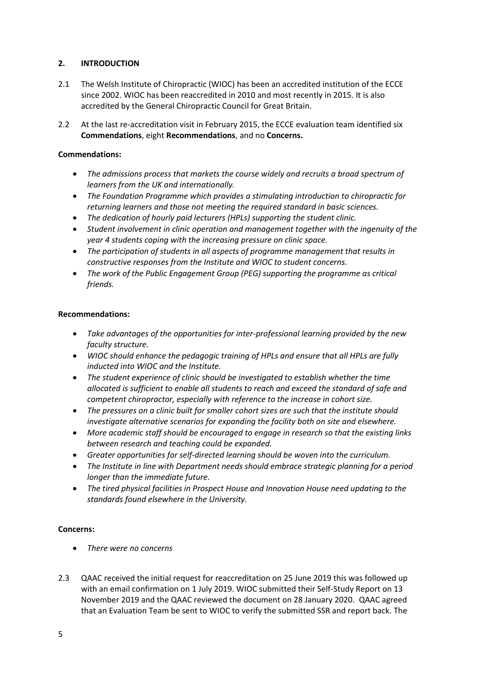#### <span id="page-4-0"></span>**2. INTRODUCTION**

- 2.1 The Welsh Institute of Chiropractic (WIOC) has been an accredited institution of the ECCE since 2002. WIOC has been reaccredited in 2010 and most recently in 2015. It is also accredited by the General Chiropractic Council for Great Britain.
- 2.2 At the last re-accreditation visit in February 2015, the ECCE evaluation team identified six **Commendations**, eight **Recommendations**, and no **Concerns.**

#### **Commendations:**

- *The admissions process that markets the course widely and recruits a broad spectrum of learners from the UK and internationally.*
- *The Foundation Programme which provides a stimulating introduction to chiropractic for returning learners and those not meeting the required standard in basic sciences.*
- *The dedication of hourly paid lecturers (HPLs) supporting the student clinic.*
- *Student involvement in clinic operation and management together with the ingenuity of the year 4 students coping with the increasing pressure on clinic space.*
- *The participation of students in all aspects of programme management that results in constructive responses from the Institute and WIOC to student concerns.*
- *The work of the Public Engagement Group (PEG) supporting the programme as critical friends.*

#### **Recommendations:**

- *Take advantages of the opportunities for inter-professional learning provided by the new faculty structure.*
- *WIOC should enhance the pedagogic training of HPLs and ensure that all HPLs are fully inducted into WIOC and the Institute.*
- *The student experience of clinic should be investigated to establish whether the time allocated is sufficient to enable all students to reach and exceed the standard of safe and competent chiropractor, especially with reference to the increase in cohort size.*
- *The pressures on a clinic built for smaller cohort sizes are such that the institute should investigate alternative scenarios for expanding the facility both on site and elsewhere.*
- *More academic staff should be encouraged to engage in research so that the existing links between research and teaching could be expanded.*
- *Greater opportunities for self-directed learning should be woven into the curriculum.*
- *The Institute in line with Department needs should embrace strategic planning for a period longer than the immediate future.*
- *The tired physical facilities in Prospect House and Innovation House need updating to the standards found elsewhere in the University.*

#### **Concerns:**

- *There were no concerns*
- 2.3 QAAC received the initial request for reaccreditation on 25 June 2019 this was followed up with an email confirmation on 1 July 2019. WIOC submitted their Self-Study Report on 13 November 2019 and the QAAC reviewed the document on 28 January 2020. QAAC agreed that an Evaluation Team be sent to WIOC to verify the submitted SSR and report back. The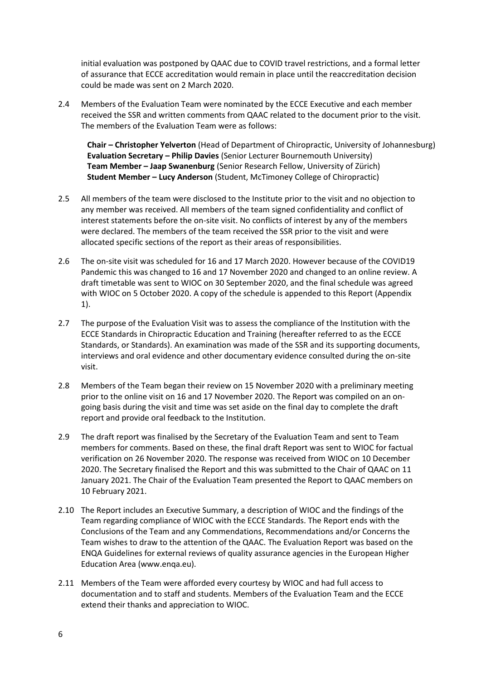initial evaluation was postponed by QAAC due to COVID travel restrictions, and a formal letter of assurance that ECCE accreditation would remain in place until the reaccreditation decision could be made was sent on 2 March 2020.

2.4 Members of the Evaluation Team were nominated by the ECCE Executive and each member received the SSR and written comments from QAAC related to the document prior to the visit. The members of the Evaluation Team were as follows:

**Chair – Christopher Yelverton** (Head of Department of Chiropractic, University of Johannesburg) **Evaluation Secretary – Philip Davies** (Senior Lecturer Bournemouth University) **Team Member – Jaap Swanenburg** (Senior Research Fellow, University of Zürich) **Student Member – Lucy Anderson** (Student, McTimoney College of Chiropractic)

- 2.5 All members of the team were disclosed to the Institute prior to the visit and no objection to any member was received. All members of the team signed confidentiality and conflict of interest statements before the on-site visit. No conflicts of interest by any of the members were declared. The members of the team received the SSR prior to the visit and were allocated specific sections of the report as their areas of responsibilities.
- 2.6 The on-site visit was scheduled for 16 and 17 March 2020. However because of the COVID19 Pandemic this was changed to 16 and 17 November 2020 and changed to an online review. A draft timetable was sent to WIOC on 30 September 2020, and the final schedule was agreed with WIOC on 5 October 2020. A copy of the schedule is appended to this Report (Appendix 1).
- 2.7 The purpose of the Evaluation Visit was to assess the compliance of the Institution with the ECCE Standards in Chiropractic Education and Training (hereafter referred to as the ECCE Standards, or Standards). An examination was made of the SSR and its supporting documents, interviews and oral evidence and other documentary evidence consulted during the on-site visit.
- 2.8 Members of the Team began their review on 15 November 2020 with a preliminary meeting prior to the online visit on 16 and 17 November 2020. The Report was compiled on an ongoing basis during the visit and time was set aside on the final day to complete the draft report and provide oral feedback to the Institution.
- 2.9 The draft report was finalised by the Secretary of the Evaluation Team and sent to Team members for comments. Based on these, the final draft Report was sent to WIOC for factual verification on 26 November 2020. The response was received from WIOC on 10 December 2020. The Secretary finalised the Report and this was submitted to the Chair of QAAC on 11 January 2021. The Chair of the Evaluation Team presented the Report to QAAC members on 10 February 2021.
- 2.10 The Report includes an Executive Summary, a description of WIOC and the findings of the Team regarding compliance of WIOC with the ECCE Standards. The Report ends with the Conclusions of the Team and any Commendations, Recommendations and/or Concerns the Team wishes to draw to the attention of the QAAC. The Evaluation Report was based on the ENQA Guidelines for external reviews of quality assurance agencies in the European Higher Education Area (www.enqa.eu).
- 2.11 Members of the Team were afforded every courtesy by WIOC and had full access to documentation and to staff and students. Members of the Evaluation Team and the ECCE extend their thanks and appreciation to WIOC.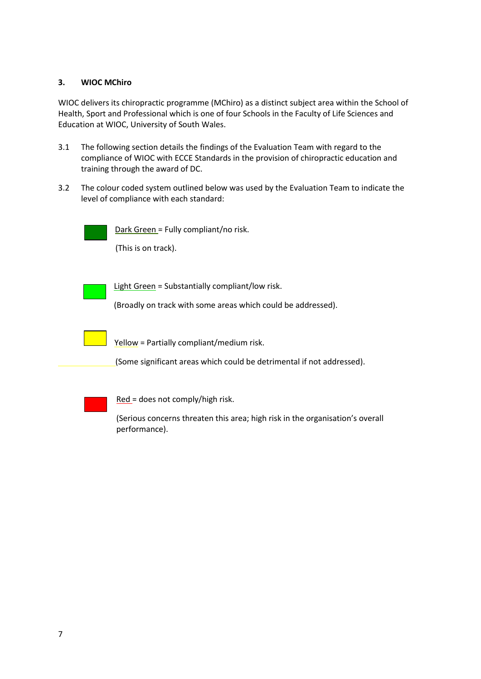#### <span id="page-6-0"></span>**3. WIOC MChiro**

WIOC delivers its chiropractic programme (MChiro) as a distinct subject area within the School of Health, Sport and Professional which is one of four Schools in the Faculty of Life Sciences and Education at WIOC, University of South Wales.

- 3.1 The following section details the findings of the Evaluation Team with regard to the compliance of WIOC with ECCE Standards in the provision of chiropractic education and training through the award of DC.
- 3.2 The colour coded system outlined below was used by the Evaluation Team to indicate the level of compliance with each standard:

Dark Green = Fully compliant/no risk.

(This is on track).

Light Green = Substantially compliant/low risk.

(Broadly on track with some areas which could be addressed).



Yellow = Partially compliant/medium risk.

(Some significant areas which could be detrimental if not addressed).



Red = does not comply/high risk.

(Serious concerns threaten this area; high risk in the organisation's overall performance).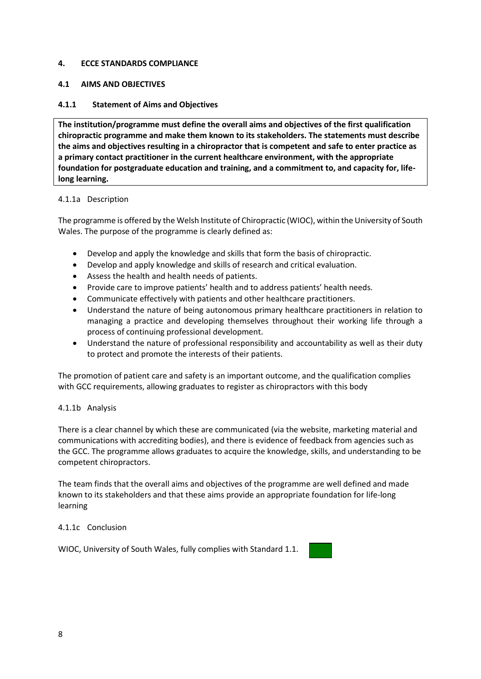#### <span id="page-7-0"></span>**4. ECCE STANDARDS COMPLIANCE**

#### <span id="page-7-1"></span>**4.1 AIMS AND OBJECTIVES**

#### **4.1.1 Statement of Aims and Objectives**

**The institution/programme must define the overall aims and objectives of the first qualification chiropractic programme and make them known to its stakeholders. The statements must describe the aims and objectives resulting in a chiropractor that is competent and safe to enter practice as a primary contact practitioner in the current healthcare environment, with the appropriate foundation for postgraduate education and training, and a commitment to, and capacity for, lifelong learning.**

#### 4.1.1a Description

The programme is offered by the Welsh Institute of Chiropractic (WIOC), within the University of South Wales. The purpose of the programme is clearly defined as:

- Develop and apply the knowledge and skills that form the basis of chiropractic.
- Develop and apply knowledge and skills of research and critical evaluation.
- Assess the health and health needs of patients.
- Provide care to improve patients' health and to address patients' health needs.
- Communicate effectively with patients and other healthcare practitioners.
- Understand the nature of being autonomous primary healthcare practitioners in relation to managing a practice and developing themselves throughout their working life through a process of continuing professional development.
- Understand the nature of professional responsibility and accountability as well as their duty to protect and promote the interests of their patients.

The promotion of patient care and safety is an important outcome, and the qualification complies with GCC requirements, allowing graduates to register as chiropractors with this body

#### 4.1.1b Analysis

There is a clear channel by which these are communicated (via the website, marketing material and communications with accrediting bodies), and there is evidence of feedback from agencies such as the GCC. The programme allows graduates to acquire the knowledge, skills, and understanding to be competent chiropractors.

The team finds that the overall aims and objectives of the programme are well defined and made known to its stakeholders and that these aims provide an appropriate foundation for life-long learning

#### 4.1.1c Conclusion

WIOC, University of South Wales, fully complies with Standard 1.1.

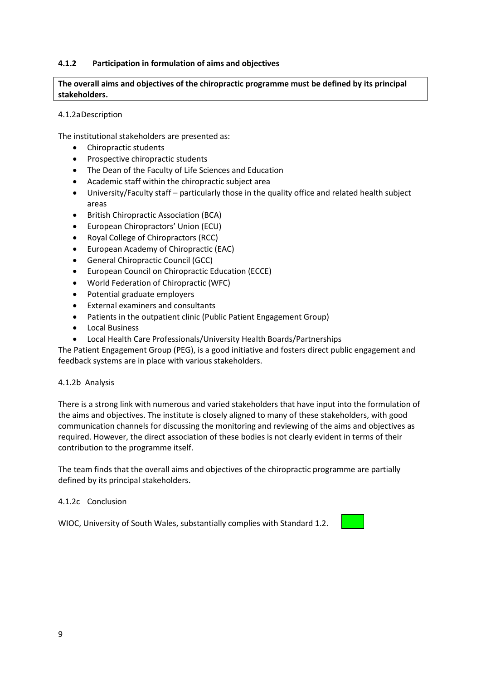#### **4.1.2 Participation in formulation of aims and objectives**

#### **The overall aims and objectives of the chiropractic programme must be defined by its principal stakeholders.**

#### 4.1.2aDescription

The institutional stakeholders are presented as:

- Chiropractic students
- Prospective chiropractic students
- The Dean of the Faculty of Life Sciences and Education
- Academic staff within the chiropractic subject area
- University/Faculty staff particularly those in the quality office and related health subject areas
- British Chiropractic Association (BCA)
- European Chiropractors' Union (ECU)
- Royal College of Chiropractors (RCC)
- European Academy of Chiropractic (EAC)
- General Chiropractic Council (GCC)
- European Council on Chiropractic Education (ECCE)
- World Federation of Chiropractic (WFC)
- Potential graduate employers
- External examiners and consultants
- Patients in the outpatient clinic (Public Patient Engagement Group)
- Local Business
- Local Health Care Professionals/University Health Boards/Partnerships

The Patient Engagement Group (PEG), is a good initiative and fosters direct public engagement and feedback systems are in place with various stakeholders.

#### 4.1.2b Analysis

There is a strong link with numerous and varied stakeholders that have input into the formulation of the aims and objectives. The institute is closely aligned to many of these stakeholders, with good communication channels for discussing the monitoring and reviewing of the aims and objectives as required. However, the direct association of these bodies is not clearly evident in terms of their contribution to the programme itself.

The team finds that the overall aims and objectives of the chiropractic programme are partially defined by its principal stakeholders.

#### 4.1.2c Conclusion

WIOC, University of South Wales, substantially complies with Standard 1.2.

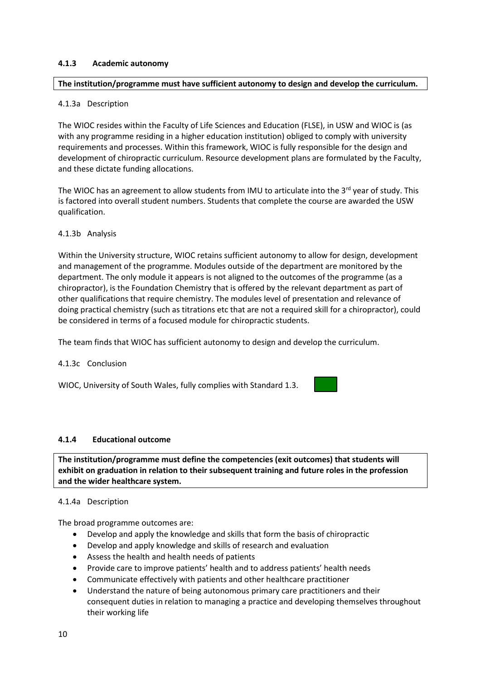#### **4.1.3 Academic autonomy**

#### **The institution/programme must have sufficient autonomy to design and develop the curriculum.**

#### 4.1.3a Description

The WIOC resides within the Faculty of Life Sciences and Education (FLSE), in USW and WIOC is (as with any programme residing in a higher education institution) obliged to comply with university requirements and processes. Within this framework, WIOC is fully responsible for the design and development of chiropractic curriculum. Resource development plans are formulated by the Faculty, and these dictate funding allocations.

The WIOC has an agreement to allow students from IMU to articulate into the 3<sup>rd</sup> year of study. This is factored into overall student numbers. Students that complete the course are awarded the USW qualification.

#### 4.1.3b Analysis

Within the University structure, WIOC retains sufficient autonomy to allow for design, development and management of the programme. Modules outside of the department are monitored by the department. The only module it appears is not aligned to the outcomes of the programme (as a chiropractor), is the Foundation Chemistry that is offered by the relevant department as part of other qualifications that require chemistry. The modules level of presentation and relevance of doing practical chemistry (such as titrations etc that are not a required skill for a chiropractor), could be considered in terms of a focused module for chiropractic students.

The team finds that WIOC has sufficient autonomy to design and develop the curriculum.

#### 4.1.3c Conclusion

WIOC, University of South Wales, fully complies with Standard 1.3.

### **4.1.4 Educational outcome**

**The institution/programme must define the competencies (exit outcomes) that students will exhibit on graduation in relation to their subsequent training and future roles in the profession and the wider healthcare system.** 

#### 4.1.4a Description

The broad programme outcomes are:

- Develop and apply the knowledge and skills that form the basis of chiropractic
- Develop and apply knowledge and skills of research and evaluation
- Assess the health and health needs of patients
- Provide care to improve patients' health and to address patients' health needs
- Communicate effectively with patients and other healthcare practitioner
- Understand the nature of being autonomous primary care practitioners and their consequent duties in relation to managing a practice and developing themselves throughout their working life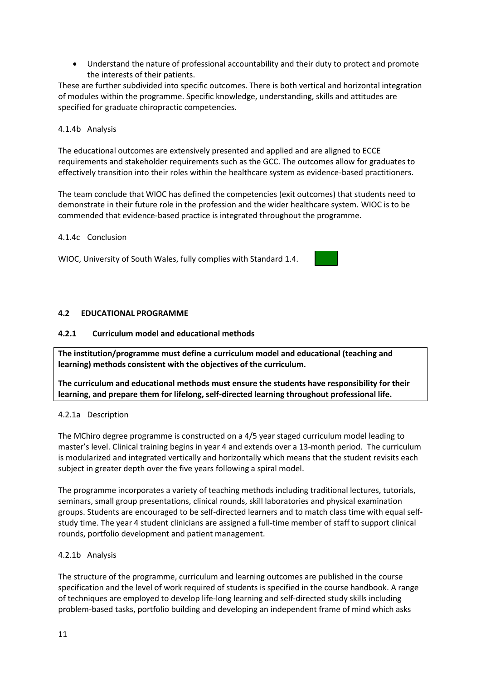• Understand the nature of professional accountability and their duty to protect and promote the interests of their patients.

These are further subdivided into specific outcomes. There is both vertical and horizontal integration of modules within the programme. Specific knowledge, understanding, skills and attitudes are specified for graduate chiropractic competencies.

#### 4.1.4b Analysis

The educational outcomes are extensively presented and applied and are aligned to ECCE requirements and stakeholder requirements such as the GCC. The outcomes allow for graduates to effectively transition into their roles within the healthcare system as evidence-based practitioners.

The team conclude that WIOC has defined the competencies (exit outcomes) that students need to demonstrate in their future role in the profession and the wider healthcare system. WIOC is to be commended that evidence-based practice is integrated throughout the programme.

#### 4.1.4c Conclusion

WIOC, University of South Wales, fully complies with Standard 1.4.

#### <span id="page-10-0"></span>**4.2 EDUCATIONAL PROGRAMME**

#### **4.2.1 Curriculum model and educational methods**

**The institution/programme must define a curriculum model and educational (teaching and learning) methods consistent with the objectives of the curriculum.** 

**The curriculum and educational methods must ensure the students have responsibility for their learning, and prepare them for lifelong, self-directed learning throughout professional life.**

#### 4.2.1a Description

The MChiro degree programme is constructed on a 4/5 year staged curriculum model leading to master's level. Clinical training begins in year 4 and extends over a 13-month period. The curriculum is modularized and integrated vertically and horizontally which means that the student revisits each subject in greater depth over the five years following a spiral model.

The programme incorporates a variety of teaching methods including traditional lectures, tutorials, seminars, small group presentations, clinical rounds, skill laboratories and physical examination groups. Students are encouraged to be self-directed learners and to match class time with equal selfstudy time. The year 4 student clinicians are assigned a full-time member of staff to support clinical rounds, portfolio development and patient management.

#### 4.2.1b Analysis

The structure of the programme, curriculum and learning outcomes are published in the course specification and the level of work required of students is specified in the course handbook. A range of techniques are employed to develop life-long learning and self-directed study skills including problem-based tasks, portfolio building and developing an independent frame of mind which asks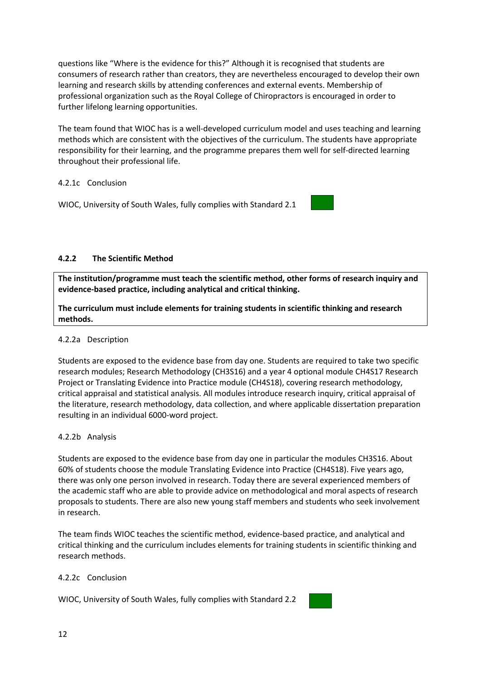questions like "Where is the evidence for this?" Although it is recognised that students are consumers of research rather than creators, they are nevertheless encouraged to develop their own learning and research skills by attending conferences and external events. Membership of professional organization such as the Royal College of Chiropractors is encouraged in order to further lifelong learning opportunities.

The team found that WIOC has is a well-developed curriculum model and uses teaching and learning methods which are consistent with the objectives of the curriculum. The students have appropriate responsibility for their learning, and the programme prepares them well for self-directed learning throughout their professional life.

#### 4.2.1c Conclusion

WIOC, University of South Wales, fully complies with Standard 2.1



#### **4.2.2 The Scientific Method**

**The institution/programme must teach the scientific method, other forms of research inquiry and evidence-based practice, including analytical and critical thinking.**

**The curriculum must include elements for training students in scientific thinking and research methods.**

#### 4.2.2a Description

Students are exposed to the evidence base from day one. Students are required to take two specific research modules; Research Methodology (CH3S16) and a year 4 optional module CH4S17 Research Project or Translating Evidence into Practice module (CH4S18), covering research methodology, critical appraisal and statistical analysis. All modules introduce research inquiry, critical appraisal of the literature, research methodology, data collection, and where applicable dissertation preparation resulting in an individual 6000-word project.

#### 4.2.2b Analysis

Students are exposed to the evidence base from day one in particular the modules CH3S16. About 60% of students choose the module Translating Evidence into Practice (CH4S18). Five years ago, there was only one person involved in research. Today there are several experienced members of the academic staff who are able to provide advice on methodological and moral aspects of research proposals to students. There are also new young staff members and students who seek involvement in research.

The team finds WIOC teaches the scientific method, evidence-based practice, and analytical and critical thinking and the curriculum includes elements for training students in scientific thinking and research methods.

#### 4.2.2c Conclusion

WIOC, University of South Wales, fully complies with Standard 2.2

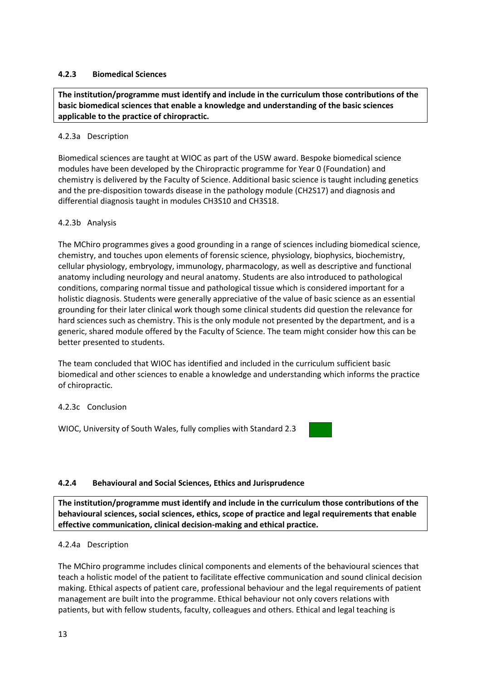#### **4.2.3 Biomedical Sciences**

**The institution/programme must identify and include in the curriculum those contributions of the basic biomedical sciences that enable a knowledge and understanding of the basic sciences applicable to the practice of chiropractic.**

#### 4.2.3a Description

Biomedical sciences are taught at WIOC as part of the USW award. Bespoke biomedical science modules have been developed by the Chiropractic programme for Year 0 (Foundation) and chemistry is delivered by the Faculty of Science. Additional basic science is taught including genetics and the pre-disposition towards disease in the pathology module (CH2S17) and diagnosis and differential diagnosis taught in modules CH3S10 and CH3S18.

#### 4.2.3b Analysis

The MChiro programmes gives a good grounding in a range of sciences including biomedical science, chemistry, and touches upon elements of forensic science, physiology, biophysics, biochemistry, cellular physiology, embryology, immunology, pharmacology, as well as descriptive and functional anatomy including neurology and neural anatomy. Students are also introduced to pathological conditions, comparing normal tissue and pathological tissue which is considered important for a holistic diagnosis. Students were generally appreciative of the value of basic science as an essential grounding for their later clinical work though some clinical students did question the relevance for hard sciences such as chemistry. This is the only module not presented by the department, and is a generic, shared module offered by the Faculty of Science. The team might consider how this can be better presented to students.

The team concluded that WIOC has identified and included in the curriculum sufficient basic biomedical and other sciences to enable a knowledge and understanding which informs the practice of chiropractic.

#### 4.2.3c Conclusion

WIOC, University of South Wales, fully complies with Standard 2.3

#### **4.2.4 Behavioural and Social Sciences, Ethics and Jurisprudence**

**The institution/programme must identify and include in the curriculum those contributions of the behavioural sciences, social sciences, ethics, scope of practice and legal requirements that enable effective communication, clinical decision-making and ethical practice.**

#### 4.2.4a Description

The MChiro programme includes clinical components and elements of the behavioural sciences that teach a holistic model of the patient to facilitate effective communication and sound clinical decision making. Ethical aspects of patient care, professional behaviour and the legal requirements of patient management are built into the programme. Ethical behaviour not only covers relations with patients, but with fellow students, faculty, colleagues and others. Ethical and legal teaching is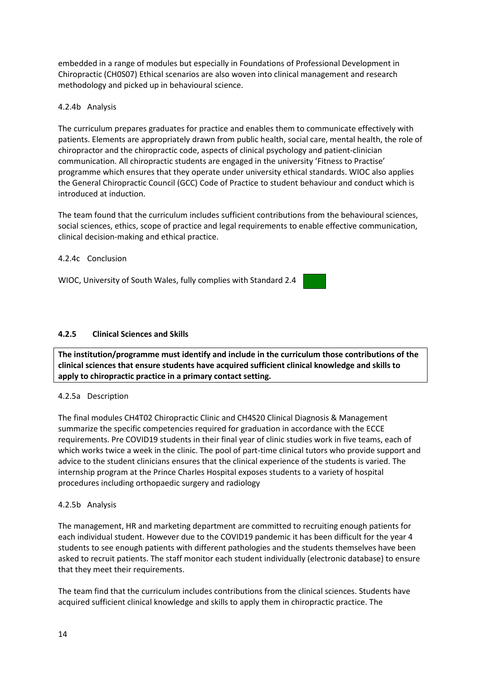embedded in a range of modules but especially in Foundations of Professional Development in Chiropractic (CH0S07) Ethical scenarios are also woven into clinical management and research methodology and picked up in behavioural science.

#### 4.2.4b Analysis

The curriculum prepares graduates for practice and enables them to communicate effectively with patients. Elements are appropriately drawn from public health, social care, mental health, the role of chiropractor and the chiropractic code, aspects of clinical psychology and patient-clinician communication. All chiropractic students are engaged in the university 'Fitness to Practise' programme which ensures that they operate under university ethical standards. WIOC also applies the General Chiropractic Council (GCC) Code of Practice to student behaviour and conduct which is introduced at induction.

The team found that the curriculum includes sufficient contributions from the behavioural sciences, social sciences, ethics, scope of practice and legal requirements to enable effective communication, clinical decision-making and ethical practice.

#### 4.2.4c Conclusion

WIOC, University of South Wales, fully complies with Standard 2.4

#### **4.2.5 Clinical Sciences and Skills**

**The institution/programme must identify and include in the curriculum those contributions of the clinical sciences that ensure students have acquired sufficient clinical knowledge and skills to apply to chiropractic practice in a primary contact setting.**

#### 4.2.5a Description

The final modules CH4T02 Chiropractic Clinic and CH4S20 Clinical Diagnosis & Management summarize the specific competencies required for graduation in accordance with the ECCE requirements. Pre COVID19 students in their final year of clinic studies work in five teams, each of which works twice a week in the clinic. The pool of part-time clinical tutors who provide support and advice to the student clinicians ensures that the clinical experience of the students is varied. The internship program at the Prince Charles Hospital exposes students to a variety of hospital procedures including orthopaedic surgery and radiology

#### 4.2.5b Analysis

The management, HR and marketing department are committed to recruiting enough patients for each individual student. However due to the COVID19 pandemic it has been difficult for the year 4 students to see enough patients with different pathologies and the students themselves have been asked to recruit patients. The staff monitor each student individually (electronic database) to ensure that they meet their requirements.

The team find that the curriculum includes contributions from the clinical sciences. Students have acquired sufficient clinical knowledge and skills to apply them in chiropractic practice. The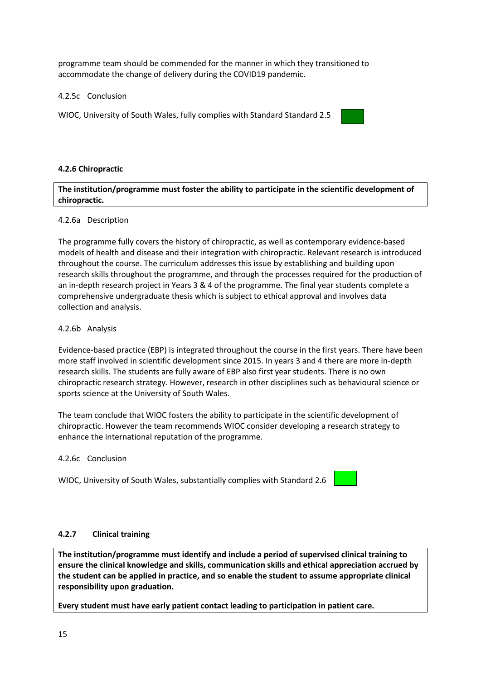programme team should be commended for the manner in which they transitioned to accommodate the change of delivery during the COVID19 pandemic.

4.2.5c Conclusion

WIOC, University of South Wales, fully complies with Standard Standard 2.5

#### **4.2.6 Chiropractic**

**The institution/programme must foster the ability to participate in the scientific development of chiropractic.**

#### 4.2.6a Description

The programme fully covers the history of chiropractic, as well as contemporary evidence‐based models of health and disease and their integration with chiropractic. Relevant research is introduced throughout the course. The curriculum addresses this issue by establishing and building upon research skills throughout the programme, and through the processes required for the production of an in-depth research project in Years 3 & 4 of the programme. The final year students complete a comprehensive undergraduate thesis which is subject to ethical approval and involves data collection and analysis.

#### 4.2.6b Analysis

Evidence-based practice (EBP) is integrated throughout the course in the first years. There have been more staff involved in scientific development since 2015. In years 3 and 4 there are more in-depth research skills. The students are fully aware of EBP also first year students. There is no own chiropractic research strategy. However, research in other disciplines such as behavioural science or sports science at the University of South Wales.

The team conclude that WIOC fosters the ability to participate in the scientific development of chiropractic. However the team recommends WIOC consider developing a research strategy to enhance the international reputation of the programme.

#### 4.2.6c Conclusion

WIOC, University of South Wales, substantially complies with Standard 2.6

#### **4.2.7 Clinical training**

**The institution/programme must identify and include a period of supervised clinical training to ensure the clinical knowledge and skills, communication skills and ethical appreciation accrued by the student can be applied in practice, and so enable the student to assume appropriate clinical responsibility upon graduation.** 

**Every student must have early patient contact leading to participation in patient care.**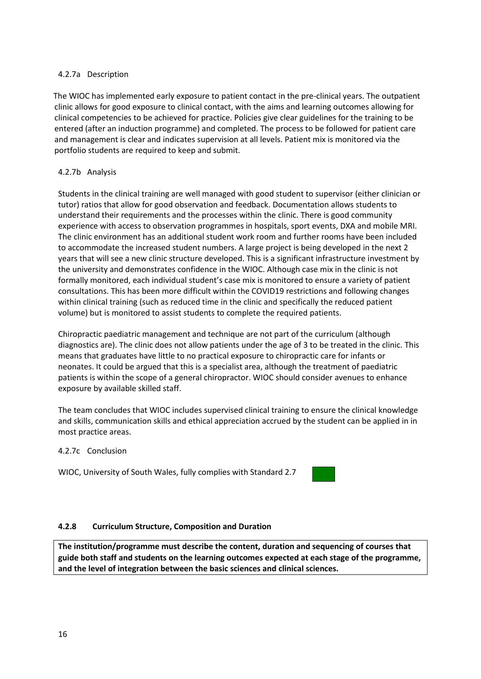#### 4.2.7a Description

The WIOC has implemented early exposure to patient contact in the pre-clinical years. The outpatient clinic allows for good exposure to clinical contact, with the aims and learning outcomes allowing for clinical competencies to be achieved for practice. Policies give clear guidelines for the training to be entered (after an induction programme) and completed. The process to be followed for patient care and management is clear and indicates supervision at all levels. Patient mix is monitored via the portfolio students are required to keep and submit.

#### 4.2.7b Analysis

Students in the clinical training are well managed with good student to supervisor (either clinician or tutor) ratios that allow for good observation and feedback. Documentation allows students to understand their requirements and the processes within the clinic. There is good community experience with access to observation programmes in hospitals, sport events, DXA and mobile MRI. The clinic environment has an additional student work room and further rooms have been included to accommodate the increased student numbers. A large project is being developed in the next 2 years that will see a new clinic structure developed. This is a significant infrastructure investment by the university and demonstrates confidence in the WIOC. Although case mix in the clinic is not formally monitored, each individual student's case mix is monitored to ensure a variety of patient consultations. This has been more difficult within the COVID19 restrictions and following changes within clinical training (such as reduced time in the clinic and specifically the reduced patient volume) but is monitored to assist students to complete the required patients.

Chiropractic paediatric management and technique are not part of the curriculum (although diagnostics are). The clinic does not allow patients under the age of 3 to be treated in the clinic. This means that graduates have little to no practical exposure to chiropractic care for infants or neonates. It could be argued that this is a specialist area, although the treatment of paediatric patients is within the scope of a general chiropractor. WIOC should consider avenues to enhance exposure by available skilled staff.

The team concludes that WIOC includes supervised clinical training to ensure the clinical knowledge and skills, communication skills and ethical appreciation accrued by the student can be applied in in most practice areas.

#### 4.2.7c Conclusion

WIOC, University of South Wales, fully complies with Standard 2.7

#### **4.2.8 Curriculum Structure, Composition and Duration**

**The institution/programme must describe the content, duration and sequencing of courses that guide both staff and students on the learning outcomes expected at each stage of the programme, and the level of integration between the basic sciences and clinical sciences.**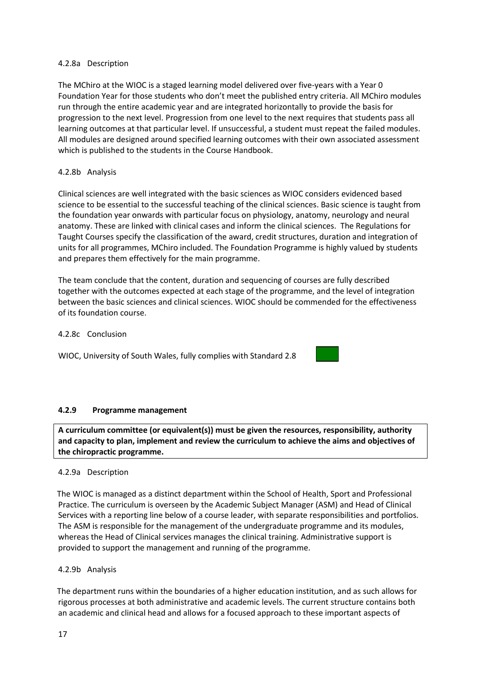#### 4.2.8a Description

The MChiro at the WIOC is a staged learning model delivered over five-years with a Year 0 Foundation Year for those students who don't meet the published entry criteria. All MChiro modules run through the entire academic year and are integrated horizontally to provide the basis for progression to the next level. Progression from one level to the next requires that students pass all learning outcomes at that particular level. If unsuccessful, a student must repeat the failed modules. All modules are designed around specified learning outcomes with their own associated assessment which is published to the students in the Course Handbook.

#### 4.2.8b Analysis

Clinical sciences are well integrated with the basic sciences as WIOC considers evidenced based science to be essential to the successful teaching of the clinical sciences. Basic science is taught from the foundation year onwards with particular focus on physiology, anatomy, neurology and neural anatomy. These are linked with clinical cases and inform the clinical sciences. The Regulations for Taught Courses specify the classification of the award, credit structures, duration and integration of units for all programmes, MChiro included. The Foundation Programme is highly valued by students and prepares them effectively for the main programme.

The team conclude that the content, duration and sequencing of courses are fully described together with the outcomes expected at each stage of the programme, and the level of integration between the basic sciences and clinical sciences. WIOC should be commended for the effectiveness of its foundation course.

#### 4.2.8c Conclusion

WIOC, University of South Wales, fully complies with Standard 2.8



#### **4.2.9 Programme management**

**A curriculum committee (or equivalent(s)) must be given the resources, responsibility, authority and capacity to plan, implement and review the curriculum to achieve the aims and objectives of the chiropractic programme.** 

#### 4.2.9a Description

The WIOC is managed as a distinct department within the School of Health, Sport and Professional Practice. The curriculum is overseen by the Academic Subject Manager (ASM) and Head of Clinical Services with a reporting line below of a course leader, with separate responsibilities and portfolios. The ASM is responsible for the management of the undergraduate programme and its modules, whereas the Head of Clinical services manages the clinical training. Administrative support is provided to support the management and running of the programme.

#### 4.2.9b Analysis

The department runs within the boundaries of a higher education institution, and as such allows for rigorous processes at both administrative and academic levels. The current structure contains both an academic and clinical head and allows for a focused approach to these important aspects of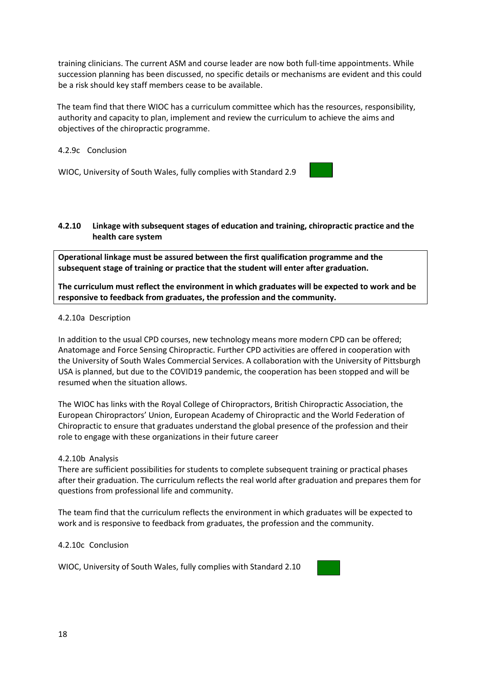training clinicians. The current ASM and course leader are now both full-time appointments. While succession planning has been discussed, no specific details or mechanisms are evident and this could be a risk should key staff members cease to be available.

The team find that there WIOC has a curriculum committee which has the resources, responsibility, authority and capacity to plan, implement and review the curriculum to achieve the aims and objectives of the chiropractic programme.

#### 4.2.9c Conclusion

WIOC, University of South Wales, fully complies with Standard 2.9



#### **4.2.10 Linkage with subsequent stages of education and training, chiropractic practice and the health care system**

**Operational linkage must be assured between the first qualification programme and the subsequent stage of training or practice that the student will enter after graduation.**

**The curriculum must reflect the environment in which graduates will be expected to work and be responsive to feedback from graduates, the profession and the community.**

#### 4.2.10a Description

In addition to the usual CPD courses, new technology means more modern CPD can be offered; Anatomage and Force Sensing Chiropractic. Further CPD activities are offered in cooperation with the University of South Wales Commercial Services. A collaboration with the University of Pittsburgh USA is planned, but due to the COVID19 pandemic, the cooperation has been stopped and will be resumed when the situation allows.

The WIOC has links with the Royal College of Chiropractors, British Chiropractic Association, the European Chiropractors' Union, European Academy of Chiropractic and the World Federation of Chiropractic to ensure that graduates understand the global presence of the profession and their role to engage with these organizations in their future career

#### 4.2.10b Analysis

There are sufficient possibilities for students to complete subsequent training or practical phases after their graduation. The curriculum reflects the real world after graduation and prepares them for questions from professional life and community.

The team find that the curriculum reflects the environment in which graduates will be expected to work and is responsive to feedback from graduates, the profession and the community.

#### 4.2.10c Conclusion

WIOC, University of South Wales, fully complies with Standard 2.10

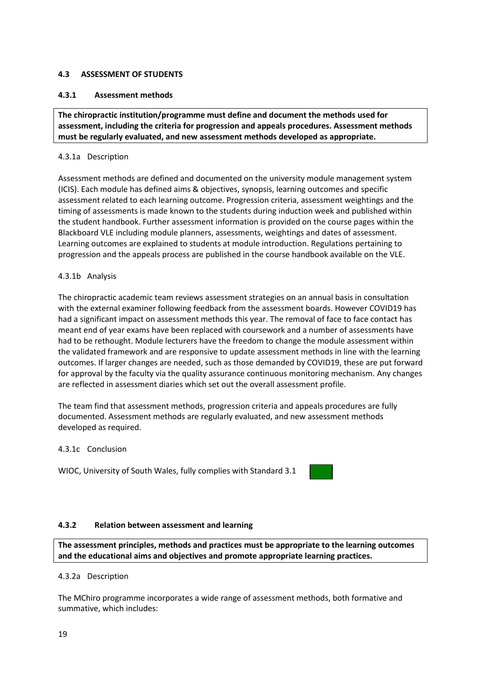#### <span id="page-18-0"></span>**4.3 ASSESSMENT OF STUDENTS**

#### **4.3.1 Assessment methods**

**The chiropractic institution/programme must define and document the methods used for assessment, including the criteria for progression and appeals procedures. Assessment methods must be regularly evaluated, and new assessment methods developed as appropriate.**

#### 4.3.1a Description

Assessment methods are defined and documented on the university module management system (ICIS). Each module has defined aims & objectives, synopsis, learning outcomes and specific assessment related to each learning outcome. Progression criteria, assessment weightings and the timing of assessments is made known to the students during induction week and published within the student handbook. Further assessment information is provided on the course pages within the Blackboard VLE including module planners, assessments, weightings and dates of assessment. Learning outcomes are explained to students at module introduction. Regulations pertaining to progression and the appeals process are published in the course handbook available on the VLE.

#### 4.3.1b Analysis

The chiropractic academic team reviews assessment strategies on an annual basis in consultation with the external examiner following feedback from the assessment boards. However COVID19 has had a significant impact on assessment methods this year. The removal of face to face contact has meant end of year exams have been replaced with coursework and a number of assessments have had to be rethought. Module lecturers have the freedom to change the module assessment within the validated framework and are responsive to update assessment methods in line with the learning outcomes. If larger changes are needed, such as those demanded by COVID19, these are put forward for approval by the faculty via the quality assurance continuous monitoring mechanism. Any changes are reflected in assessment diaries which set out the overall assessment profile.

The team find that assessment methods, progression criteria and appeals procedures are fully documented. Assessment methods are regularly evaluated, and new assessment methods developed as required.

#### 4.3.1c Conclusion

WIOC, University of South Wales, fully complies with Standard 3.1



#### **4.3.2 Relation between assessment and learning**

**The assessment principles, methods and practices must be appropriate to the learning outcomes and the educational aims and objectives and promote appropriate learning practices.**

#### 4.3.2a Description

The MChiro programme incorporates a wide range of assessment methods, both formative and summative, which includes: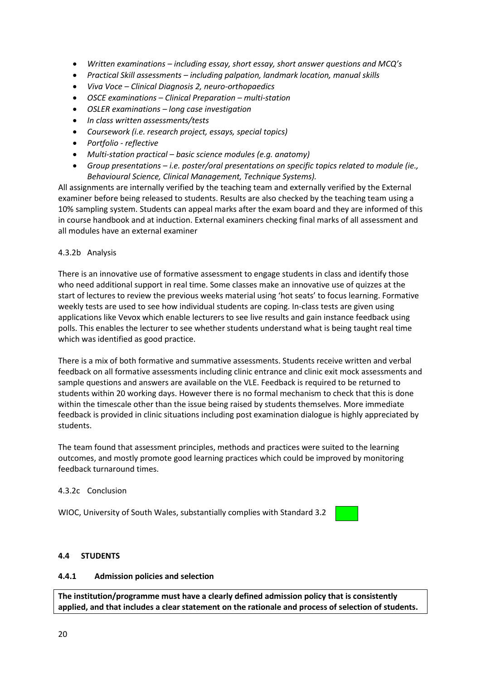- *Written examinations – including essay, short essay, short answer questions and MCQ's*
- *Practical Skill assessments – including palpation, landmark location, manual skills*
- *Viva Voce – Clinical Diagnosis 2, neuro-orthopaedics*
- *OSCE examinations – Clinical Preparation – multi-station*
- *OSLER examinations – long case investigation*
- *In class written assessments/tests*
- *Coursework (i.e. research project, essays, special topics)*
- *Portfolio - reflective*
- *Multi-station practical – basic science modules (e.g. anatomy)*
- *Group presentations – i.e. poster/oral presentations on specific topics related to module (ie., Behavioural Science, Clinical Management, Technique Systems).*

All assignments are internally verified by the teaching team and externally verified by the External examiner before being released to students. Results are also checked by the teaching team using a 10% sampling system. Students can appeal marks after the exam board and they are informed of this in course handbook and at induction. External examiners checking final marks of all assessment and all modules have an external examiner

#### 4.3.2b Analysis

There is an innovative use of formative assessment to engage students in class and identify those who need additional support in real time. Some classes make an innovative use of quizzes at the start of lectures to review the previous weeks material using 'hot seats' to focus learning. Formative weekly tests are used to see how individual students are coping. In-class tests are given using applications like Vevox which enable lecturers to see live results and gain instance feedback using polls. This enables the lecturer to see whether students understand what is being taught real time which was identified as good practice.

There is a mix of both formative and summative assessments. Students receive written and verbal feedback on all formative assessments including clinic entrance and clinic exit mock assessments and sample questions and answers are available on the VLE. Feedback is required to be returned to students within 20 working days. However there is no formal mechanism to check that this is done within the timescale other than the issue being raised by students themselves. More immediate feedback is provided in clinic situations including post examination dialogue is highly appreciated by students.

The team found that assessment principles, methods and practices were suited to the learning outcomes, and mostly promote good learning practices which could be improved by monitoring feedback turnaround times.

#### 4.3.2c Conclusion

WIOC, University of South Wales, substantially complies with Standard 3.2



#### <span id="page-19-0"></span>**4.4 STUDENTS**

#### **4.4.1 Admission policies and selection**

**The institution/programme must have a clearly defined admission policy that is consistently applied, and that includes a clear statement on the rationale and process of selection of students.**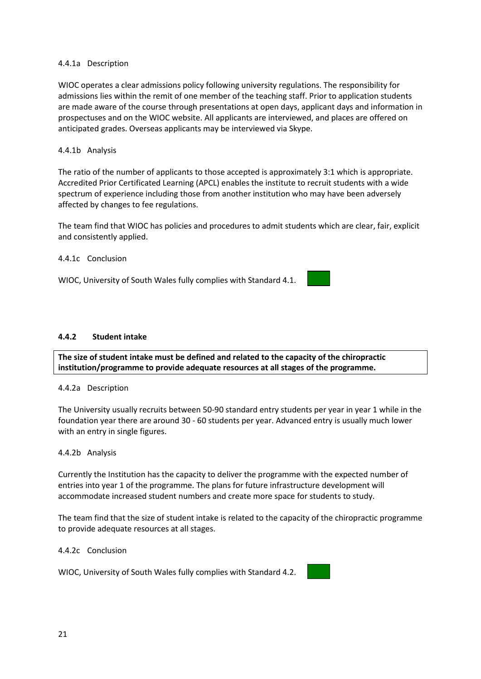#### 4.4.1a Description

WIOC operates a clear admissions policy following university regulations. The responsibility for admissions lies within the remit of one member of the teaching staff. Prior to application students are made aware of the course through presentations at open days, applicant days and information in prospectuses and on the WIOC website. All applicants are interviewed, and places are offered on anticipated grades. Overseas applicants may be interviewed via Skype.

#### 4.4.1b Analysis

The ratio of the number of applicants to those accepted is approximately 3:1 which is appropriate. Accredited Prior Certificated Learning (APCL) enables the institute to recruit students with a wide spectrum of experience including those from another institution who may have been adversely affected by changes to fee regulations.

The team find that WIOC has policies and procedures to admit students which are clear, fair, explicit and consistently applied.

#### 4.4.1c Conclusion

WIOC, University of South Wales fully complies with Standard 4.1.

#### **4.4.2 Student intake**

**The size of student intake must be defined and related to the capacity of the chiropractic institution/programme to provide adequate resources at all stages of the programme.**

#### 4.4.2a Description

The University usually recruits between 50-90 standard entry students per year in year 1 while in the foundation year there are around 30 - 60 students per year. Advanced entry is usually much lower with an entry in single figures.

#### 4.4.2b Analysis

Currently the Institution has the capacity to deliver the programme with the expected number of entries into year 1 of the programme. The plans for future infrastructure development will accommodate increased student numbers and create more space for students to study.

The team find that the size of student intake is related to the capacity of the chiropractic programme to provide adequate resources at all stages.

#### 4.4.2c Conclusion

WIOC, University of South Wales fully complies with Standard 4.2.

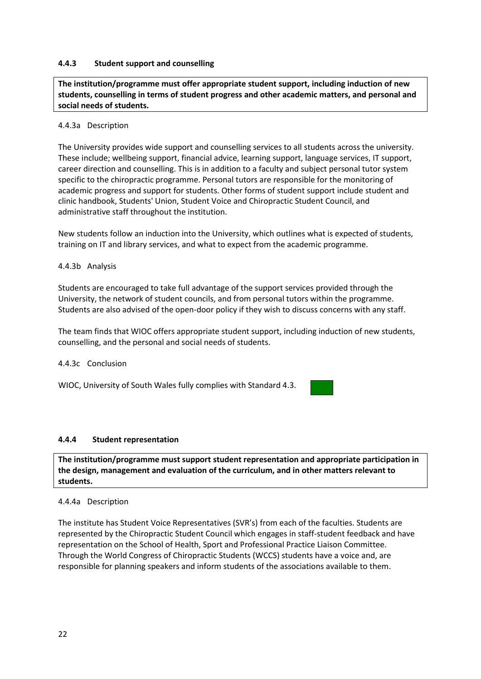#### **4.4.3 Student support and counselling**

**The institution/programme must offer appropriate student support, including induction of new students, counselling in terms of student progress and other academic matters, and personal and social needs of students.**

#### 4.4.3a Description

The University provides wide support and counselling services to all students across the university. These include; wellbeing support, financial advice, learning support, language services, IT support, career direction and counselling. This is in addition to a faculty and subject personal tutor system specific to the chiropractic programme. Personal tutors are responsible for the monitoring of academic progress and support for students. Other forms of student support include student and clinic handbook, Students' Union, Student Voice and Chiropractic Student Council, and administrative staff throughout the institution.

New students follow an induction into the University, which outlines what is expected of students, training on IT and library services, and what to expect from the academic programme.

#### 4.4.3b Analysis

Students are encouraged to take full advantage of the support services provided through the University, the network of student councils, and from personal tutors within the programme. Students are also advised of the open-door policy if they wish to discuss concerns with any staff.

The team finds that WIOC offers appropriate student support, including induction of new students, counselling, and the personal and social needs of students.

#### 4.4.3c Conclusion

WIOC, University of South Wales fully complies with Standard 4.3.

#### **4.4.4 Student representation**

**The institution/programme must support student representation and appropriate participation in the design, management and evaluation of the curriculum, and in other matters relevant to students.**

#### 4.4.4a Description

The institute has Student Voice Representatives (SVR's) from each of the faculties. Students are represented by the Chiropractic Student Council which engages in staff-student feedback and have representation on the School of Health, Sport and Professional Practice Liaison Committee. Through the World Congress of Chiropractic Students (WCCS) students have a voice and, are responsible for planning speakers and inform students of the associations available to them.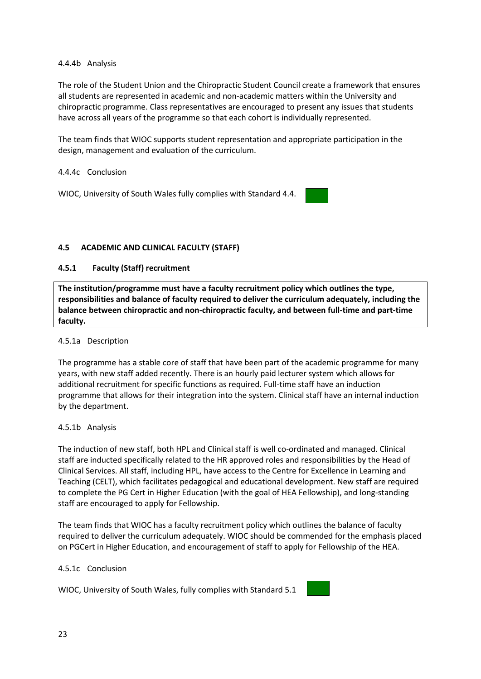#### 4.4.4b Analysis

The role of the Student Union and the Chiropractic Student Council create a framework that ensures all students are represented in academic and non-academic matters within the University and chiropractic programme. Class representatives are encouraged to present any issues that students have across all years of the programme so that each cohort is individually represented.

The team finds that WIOC supports student representation and appropriate participation in the design, management and evaluation of the curriculum.

#### 4.4.4c Conclusion

WIOC, University of South Wales fully complies with Standard 4.4.

#### <span id="page-22-0"></span>**4.5 ACADEMIC AND CLINICAL FACULTY (STAFF)**

#### **4.5.1 Faculty (Staff) recruitment**

**The institution/programme must have a faculty recruitment policy which outlines the type, responsibilities and balance of faculty required to deliver the curriculum adequately, including the balance between chiropractic and non-chiropractic faculty, and between full-time and part-time faculty.**

#### 4.5.1a Description

The programme has a stable core of staff that have been part of the academic programme for many years, with new staff added recently. There is an hourly paid lecturer system which allows for additional recruitment for specific functions as required. Full-time staff have an induction programme that allows for their integration into the system. Clinical staff have an internal induction by the department.

#### 4.5.1b Analysis

The induction of new staff, both HPL and Clinical staff is well co-ordinated and managed. Clinical staff are inducted specifically related to the HR approved roles and responsibilities by the Head of Clinical Services. All staff, including HPL, have access to the Centre for Excellence in Learning and Teaching (CELT), which facilitates pedagogical and educational development. New staff are required to complete the PG Cert in Higher Education (with the goal of HEA Fellowship), and long-standing staff are encouraged to apply for Fellowship.

The team finds that WIOC has a faculty recruitment policy which outlines the balance of faculty required to deliver the curriculum adequately. WIOC should be commended for the emphasis placed on PGCert in Higher Education, and encouragement of staff to apply for Fellowship of the HEA.

#### 4.5.1c Conclusion

WIOC, University of South Wales, fully complies with Standard 5.1

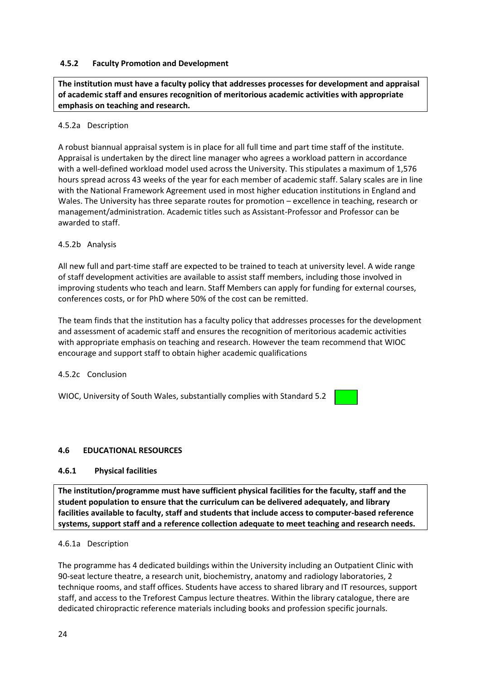#### **4.5.2 Faculty Promotion and Development**

**The institution must have a faculty policy that addresses processes for development and appraisal of academic staff and ensures recognition of meritorious academic activities with appropriate emphasis on teaching and research.**

#### 4.5.2a Description

A robust biannual appraisal system is in place for all full time and part time staff of the institute. Appraisal is undertaken by the direct line manager who agrees a workload pattern in accordance with a well-defined workload model used across the University. This stipulates a maximum of 1,576 hours spread across 43 weeks of the year for each member of academic staff. Salary scales are in line with the National Framework Agreement used in most higher education institutions in England and Wales. The University has three separate routes for promotion – excellence in teaching, research or management/administration. Academic titles such as Assistant-Professor and Professor can be awarded to staff.

#### 4.5.2b Analysis

All new full and part-time staff are expected to be trained to teach at university level. A wide range of staff development activities are available to assist staff members, including those involved in improving students who teach and learn. Staff Members can apply for funding for external courses, conferences costs, or for PhD where 50% of the cost can be remitted.

The team finds that the institution has a faculty policy that addresses processes for the development and assessment of academic staff and ensures the recognition of meritorious academic activities with appropriate emphasis on teaching and research. However the team recommend that WIOC encourage and support staff to obtain higher academic qualifications

#### 4.5.2c Conclusion

WIOC, University of South Wales, substantially complies with Standard 5.2

#### <span id="page-23-0"></span>**4.6 EDUCATIONAL RESOURCES**

#### **4.6.1 Physical facilities**

**The institution/programme must have sufficient physical facilities for the faculty, staff and the student population to ensure that the curriculum can be delivered adequately, and library facilities available to faculty, staff and students that include access to computer-based reference systems, support staff and a reference collection adequate to meet teaching and research needs.** 

#### 4.6.1a Description

The programme has 4 dedicated buildings within the University including an Outpatient Clinic with 90-seat lecture theatre, a research unit, biochemistry, anatomy and radiology laboratories, 2 technique rooms, and staff offices. Students have access to shared library and IT resources, support staff, and access to the Treforest Campus lecture theatres. Within the library catalogue, there are dedicated chiropractic reference materials including books and profession specific journals.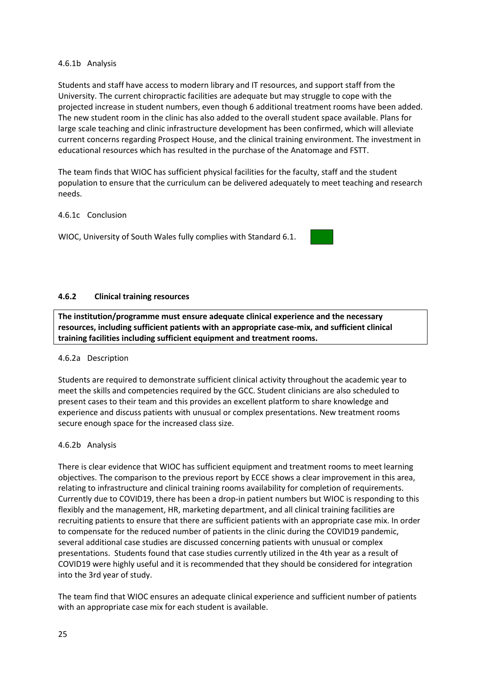#### 4.6.1b Analysis

Students and staff have access to modern library and IT resources, and support staff from the University. The current chiropractic facilities are adequate but may struggle to cope with the projected increase in student numbers, even though 6 additional treatment rooms have been added. The new student room in the clinic has also added to the overall student space available. Plans for large scale teaching and clinic infrastructure development has been confirmed, which will alleviate current concerns regarding Prospect House, and the clinical training environment. The investment in educational resources which has resulted in the purchase of the Anatomage and FSTT.

The team finds that WIOC has sufficient physical facilities for the faculty, staff and the student population to ensure that the curriculum can be delivered adequately to meet teaching and research needs.

#### 4.6.1c Conclusion

WIOC, University of South Wales fully complies with Standard 6.1.



#### **4.6.2 Clinical training resources**

**The institution/programme must ensure adequate clinical experience and the necessary resources, including sufficient patients with an appropriate case-mix, and sufficient clinical training facilities including sufficient equipment and treatment rooms.**

#### 4.6.2a Description

Students are required to demonstrate sufficient clinical activity throughout the academic year to meet the skills and competencies required by the GCC. Student clinicians are also scheduled to present cases to their team and this provides an excellent platform to share knowledge and experience and discuss patients with unusual or complex presentations. New treatment rooms secure enough space for the increased class size.

#### 4.6.2b Analysis

There is clear evidence that WIOC has sufficient equipment and treatment rooms to meet learning objectives. The comparison to the previous report by ECCE shows a clear improvement in this area, relating to infrastructure and clinical training rooms availability for completion of requirements. Currently due to COVID19, there has been a drop-in patient numbers but WIOC is responding to this flexibly and the management, HR, marketing department, and all clinical training facilities are recruiting patients to ensure that there are sufficient patients with an appropriate case mix. In order to compensate for the reduced number of patients in the clinic during the COVID19 pandemic, several additional case studies are discussed concerning patients with unusual or complex presentations. Students found that case studies currently utilized in the 4th year as a result of COVID19 were highly useful and it is recommended that they should be considered for integration into the 3rd year of study.

The team find that WIOC ensures an adequate clinical experience and sufficient number of patients with an appropriate case mix for each student is available.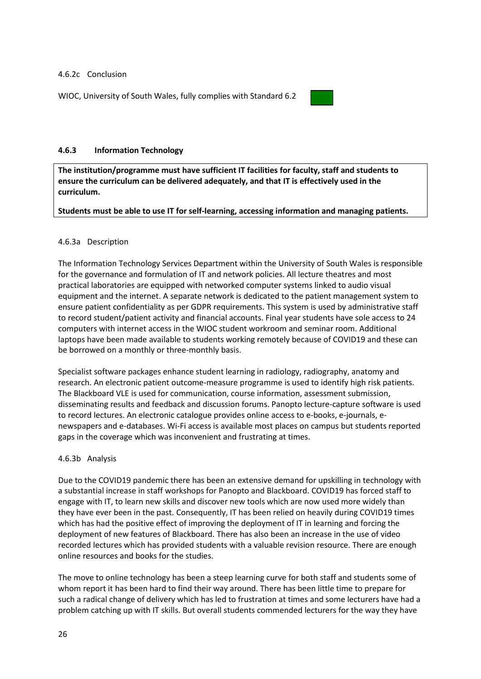#### 4.6.2c Conclusion

WIOC, University of South Wales, fully complies with Standard 6.2



#### **4.6.3 Information Technology**

**The institution/programme must have sufficient IT facilities for faculty, staff and students to ensure the curriculum can be delivered adequately, and that IT is effectively used in the curriculum.** 

#### **Students must be able to use IT for self-learning, accessing information and managing patients.**

#### 4.6.3a Description

The Information Technology Services Department within the University of South Wales is responsible for the governance and formulation of IT and network policies. All lecture theatres and most practical laboratories are equipped with networked computer systems linked to audio visual equipment and the internet. A separate network is dedicated to the patient management system to ensure patient confidentiality as per GDPR requirements. This system is used by administrative staff to record student/patient activity and financial accounts. Final year students have sole access to 24 computers with internet access in the WIOC student workroom and seminar room. Additional laptops have been made available to students working remotely because of COVID19 and these can be borrowed on a monthly or three-monthly basis.

Specialist software packages enhance student learning in radiology, radiography, anatomy and research. An electronic patient outcome-measure programme is used to identify high risk patients. The Blackboard VLE is used for communication, course information, assessment submission, disseminating results and feedback and discussion forums. Panopto lecture-capture software is used to record lectures. An electronic catalogue provides online access to e-books, e-journals, enewspapers and e-databases. Wi-Fi access is available most places on campus but students reported gaps in the coverage which was inconvenient and frustrating at times.

#### 4.6.3b Analysis

Due to the COVID19 pandemic there has been an extensive demand for upskilling in technology with a substantial increase in staff workshops for Panopto and Blackboard. COVID19 has forced staff to engage with IT, to learn new skills and discover new tools which are now used more widely than they have ever been in the past. Consequently, IT has been relied on heavily during COVID19 times which has had the positive effect of improving the deployment of IT in learning and forcing the deployment of new features of Blackboard. There has also been an increase in the use of video recorded lectures which has provided students with a valuable revision resource. There are enough online resources and books for the studies.

The move to online technology has been a steep learning curve for both staff and students some of whom report it has been hard to find their way around. There has been little time to prepare for such a radical change of delivery which has led to frustration at times and some lecturers have had a problem catching up with IT skills. But overall students commended lecturers for the way they have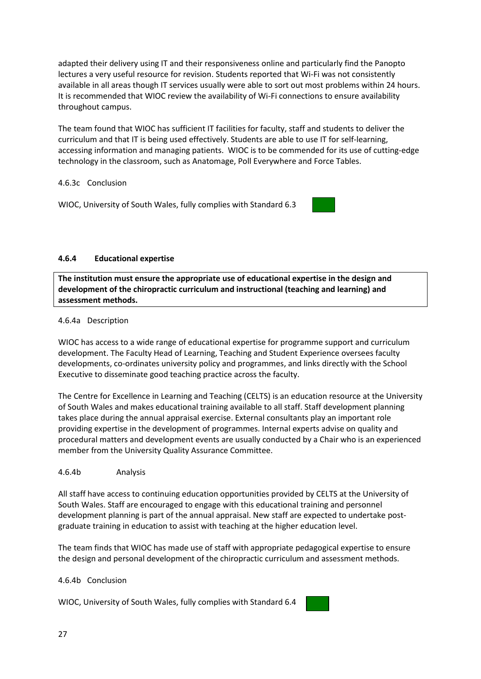adapted their delivery using IT and their responsiveness online and particularly find the Panopto lectures a very useful resource for revision. Students reported that Wi-Fi was not consistently available in all areas though IT services usually were able to sort out most problems within 24 hours. It is recommended that WIOC review the availability of Wi-Fi connections to ensure availability throughout campus.

The team found that WIOC has sufficient IT facilities for faculty, staff and students to deliver the curriculum and that IT is being used effectively. Students are able to use IT for self-learning, accessing information and managing patients. WIOC is to be commended for its use of cutting-edge technology in the classroom, such as Anatomage, Poll Everywhere and Force Tables.

#### 4.6.3c Conclusion

WIOC, University of South Wales, fully complies with Standard 6.3

#### **4.6.4 Educational expertise**

**The institution must ensure the appropriate use of educational expertise in the design and development of the chiropractic curriculum and instructional (teaching and learning) and assessment methods.** 

#### 4.6.4a Description

WIOC has access to a wide range of educational expertise for programme support and curriculum development. The Faculty Head of Learning, Teaching and Student Experience oversees faculty developments, co-ordinates university policy and programmes, and links directly with the School Executive to disseminate good teaching practice across the faculty.

The Centre for Excellence in Learning and Teaching (CELTS) is an education resource at the University of South Wales and makes educational training available to all staff. Staff development planning takes place during the annual appraisal exercise. External consultants play an important role providing expertise in the development of programmes. Internal experts advise on quality and procedural matters and development events are usually conducted by a Chair who is an experienced member from the University Quality Assurance Committee.

#### 4.6.4b Analysis

All staff have access to continuing education opportunities provided by CELTS at the University of South Wales. Staff are encouraged to engage with this educational training and personnel development planning is part of the annual appraisal. New staff are expected to undertake postgraduate training in education to assist with teaching at the higher education level.

The team finds that WIOC has made use of staff with appropriate pedagogical expertise to ensure the design and personal development of the chiropractic curriculum and assessment methods.

#### 4.6.4b Conclusion

WIOC, University of South Wales, fully complies with Standard 6.4

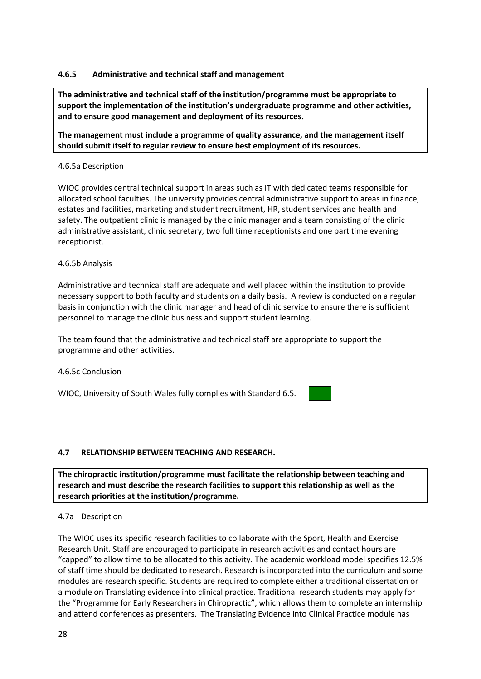#### **4.6.5 Administrative and technical staff and management**

**The administrative and technical staff of the institution/programme must be appropriate to support the implementation of the institution's undergraduate programme and other activities, and to ensure good management and deployment of its resources.** 

**The management must include a programme of quality assurance, and the management itself should submit itself to regular review to ensure best employment of its resources.**

#### 4.6.5a Description

WIOC provides central technical support in areas such as IT with dedicated teams responsible for allocated school faculties. The university provides central administrative support to areas in finance, estates and facilities, marketing and student recruitment, HR, student services and health and safety. The outpatient clinic is managed by the clinic manager and a team consisting of the clinic administrative assistant, clinic secretary, two full time receptionists and one part time evening receptionist.

#### 4.6.5b Analysis

Administrative and technical staff are adequate and well placed within the institution to provide necessary support to both faculty and students on a daily basis. A review is conducted on a regular basis in conjunction with the clinic manager and head of clinic service to ensure there is sufficient personnel to manage the clinic business and support student learning.

The team found that the administrative and technical staff are appropriate to support the programme and other activities.

#### 4.6.5c Conclusion

WIOC, University of South Wales fully complies with Standard 6.5.

#### <span id="page-27-0"></span>**4.7 RELATIONSHIP BETWEEN TEACHING AND RESEARCH.**

**The chiropractic institution/programme must facilitate the relationship between teaching and research and must describe the research facilities to support this relationship as well as the research priorities at the institution/programme.**

#### 4.7a Description

The WIOC uses its specific research facilities to collaborate with the Sport, Health and Exercise Research Unit. Staff are encouraged to participate in research activities and contact hours are "capped" to allow time to be allocated to this activity. The academic workload model specifies 12.5% of staff time should be dedicated to research. Research is incorporated into the curriculum and some modules are research specific. Students are required to complete either a traditional dissertation or a module on Translating evidence into clinical practice. Traditional research students may apply for the "Programme for Early Researchers in Chiropractic", which allows them to complete an internship and attend conferences as presenters. The Translating Evidence into Clinical Practice module has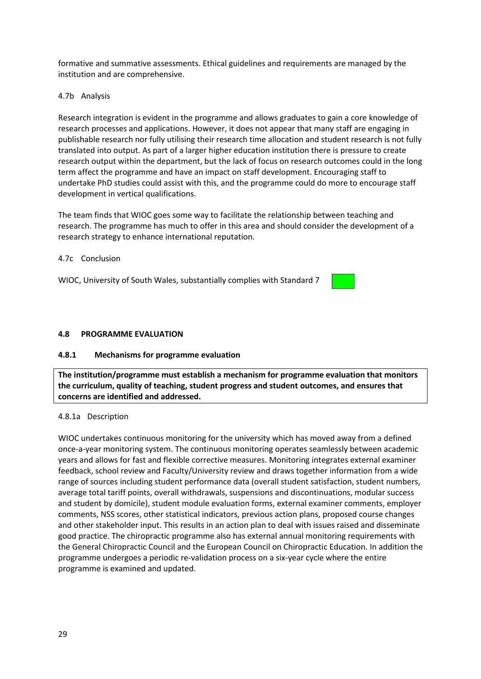formative and summative assessments. Ethical guidelines and requirements are managed by the institution and are comprehensive.

#### 4.7b Analysis

Research integration is evident in the programme and allows graduates to gain a core knowledge of research processes and applications. However, it does not appear that many staff are engaging in publishable research nor fully utilising their research time allocation and student research is not fully translated into output. As part of a larger higher education institution there is pressure to create research output within the department, but the lack of focus on research outcomes could in the long term affect the programme and have an impact on staff development. Encouraging staff to undertake PhD studies could assist with this, and the programme could do more to encourage staff development in vertical qualifications.

The team finds that WIOC goes some way to facilitate the relationship between teaching and research. The programme has much to offer in this area and should consider the development of a research strategy to enhance international reputation.

#### 4.7c Conclusion

WIOC, University of South Wales, substantially complies with Standard 7

#### <span id="page-28-0"></span>**4.8 PROGRAMME EVALUATION**

#### **4.8.1 Mechanisms for programme evaluation**

**The institution/programme must establish a mechanism for programme evaluation that monitors the curriculum, quality of teaching, student progress and student outcomes, and ensures that concerns are identified and addressed.**

#### 4.8.1a Description

WIOC undertakes continuous monitoring for the university which has moved away from a defined once-a-year monitoring system. The continuous monitoring operates seamlessly between academic years and allows for fast and flexible corrective measures. Monitoring integrates external examiner feedback, school review and Faculty/University review and draws together information from a wide range of sources including student performance data (overall student satisfaction, student numbers, average total tariff points, overall withdrawals, suspensions and discontinuations, modular success and student by domicile), student module evaluation forms, external examiner comments, employer comments, NSS scores, other statistical indicators, previous action plans, proposed course changes and other stakeholder input. This results in an action plan to deal with issues raised and disseminate good practice. The chiropractic programme also has external annual monitoring requirements with the General Chiropractic Council and the European Council on Chiropractic Education. In addition the programme undergoes a periodic re-validation process on a six-year cycle where the entire programme is examined and updated.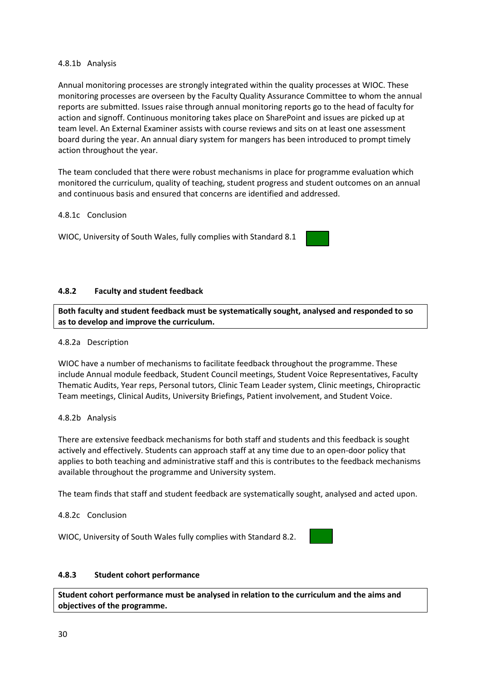#### 4.8.1b Analysis

Annual monitoring processes are strongly integrated within the quality processes at WIOC. These monitoring processes are overseen by the Faculty Quality Assurance Committee to whom the annual reports are submitted. Issues raise through annual monitoring reports go to the head of faculty for action and signoff. Continuous monitoring takes place on SharePoint and issues are picked up at team level. An External Examiner assists with course reviews and sits on at least one assessment board during the year. An annual diary system for mangers has been introduced to prompt timely action throughout the year.

The team concluded that there were robust mechanisms in place for programme evaluation which monitored the curriculum, quality of teaching, student progress and student outcomes on an annual and continuous basis and ensured that concerns are identified and addressed.

#### 4.8.1c Conclusion

WIOC, University of South Wales, fully complies with Standard 8.1

#### **4.8.2 Faculty and student feedback**

**Both faculty and student feedback must be systematically sought, analysed and responded to so as to develop and improve the curriculum.**

#### 4.8.2a Description

WIOC have a number of mechanisms to facilitate feedback throughout the programme. These include Annual module feedback, Student Council meetings, Student Voice Representatives, Faculty Thematic Audits, Year reps, Personal tutors, Clinic Team Leader system, Clinic meetings, Chiropractic Team meetings, Clinical Audits, University Briefings, Patient involvement, and Student Voice.

#### 4.8.2b Analysis

There are extensive feedback mechanisms for both staff and students and this feedback is sought actively and effectively. Students can approach staff at any time due to an open-door policy that applies to both teaching and administrative staff and this is contributes to the feedback mechanisms available throughout the programme and University system.

The team finds that staff and student feedback are systematically sought, analysed and acted upon.

#### 4.8.2c Conclusion

WIOC, University of South Wales fully complies with Standard 8.2.



#### **4.8.3 Student cohort performance**

**Student cohort performance must be analysed in relation to the curriculum and the aims and objectives of the programme.**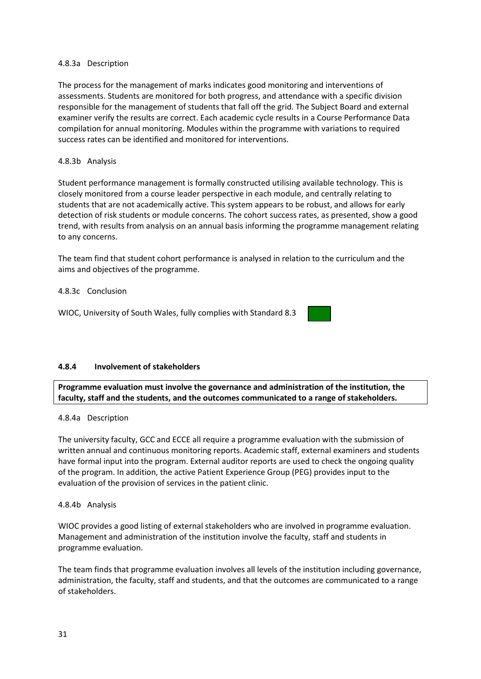#### 4.8.3a Description

The process for the management of marks indicates good monitoring and interventions of assessments. Students are monitored for both progress, and attendance with a specific division responsible for the management of students that fall off the grid. The Subject Board and external examiner verify the results are correct. Each academic cycle results in a Course Performance Data compilation for annual monitoring. Modules within the programme with variations to required success rates can be identified and monitored for interventions.

#### 4.8.3b Analysis

Student performance management is formally constructed utilising available technology. This is closely monitored from a course leader perspective in each module, and centrally relating to students that are not academically active. This system appears to be robust, and allows for early detection of risk students or module concerns. The cohort success rates, as presented, show a good trend, with results from analysis on an annual basis informing the programme management relating to any concerns.

The team find that student cohort performance is analysed in relation to the curriculum and the aims and objectives of the programme.

#### 4.8.3c Conclusion

WIOC, University of South Wales, fully complies with Standard 8.3

#### **4.8.4 Involvement of stakeholders**

**Programme evaluation must involve the governance and administration of the institution, the faculty, staff and the students, and the outcomes communicated to a range of stakeholders.**

#### 4.8.4a Description

The university faculty, GCC and ECCE all require a programme evaluation with the submission of written annual and continuous monitoring reports. Academic staff, external examiners and students have formal input into the program. External auditor reports are used to check the ongoing quality of the program. In addition, the active Patient Experience Group (PEG) provides input to the evaluation of the provision of services in the patient clinic.

#### 4.8.4b Analysis

WIOC provides a good listing of external stakeholders who are involved in programme evaluation. Management and administration of the institution involve the faculty, staff and students in programme evaluation.

The team finds that programme evaluation involves all levels of the institution including governance, administration, the faculty, staff and students, and that the outcomes are communicated to a range of stakeholders.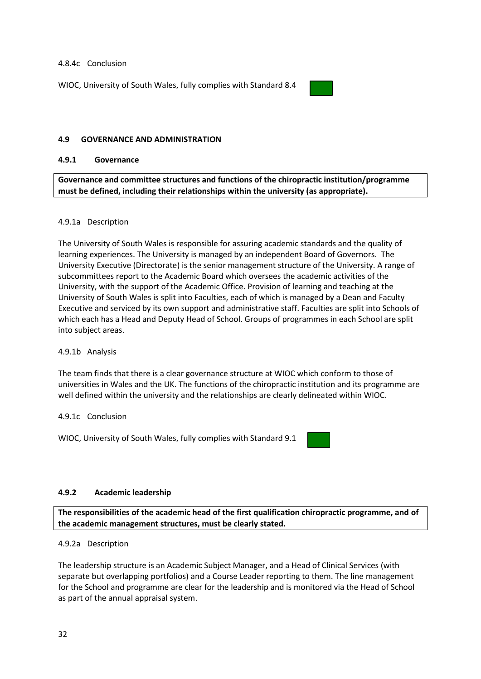#### 4.8.4c Conclusion

WIOC, University of South Wales, fully complies with Standard 8.4



#### <span id="page-31-0"></span>**4.9 GOVERNANCE AND ADMINISTRATION**

#### **4.9.1 Governance**

**Governance and committee structures and functions of the chiropractic institution/programme must be defined, including their relationships within the university (as appropriate).**

#### 4.9.1a Description

The University of South Wales is responsible for assuring academic standards and the quality of learning experiences. The University is managed by an independent Board of Governors. The University Executive (Directorate) is the senior management structure of the University. A range of subcommittees report to the Academic Board which oversees the academic activities of the University, with the support of the Academic Office. Provision of learning and teaching at the University of South Wales is split into Faculties, each of which is managed by a Dean and Faculty Executive and serviced by its own support and administrative staff. Faculties are split into Schools of which each has a Head and Deputy Head of School. Groups of programmes in each School are split into subject areas.

#### 4.9.1b Analysis

The team finds that there is a clear governance structure at WIOC which conform to those of universities in Wales and the UK. The functions of the chiropractic institution and its programme are well defined within the university and the relationships are clearly delineated within WIOC.

#### 4.9.1c Conclusion

WIOC, University of South Wales, fully complies with Standard 9.1



#### **4.9.2 Academic leadership**

**The responsibilities of the academic head of the first qualification chiropractic programme, and of the academic management structures, must be clearly stated.**

#### 4.9.2a Description

The leadership structure is an Academic Subject Manager, and a Head of Clinical Services (with separate but overlapping portfolios) and a Course Leader reporting to them. The line management for the School and programme are clear for the leadership and is monitored via the Head of School as part of the annual appraisal system.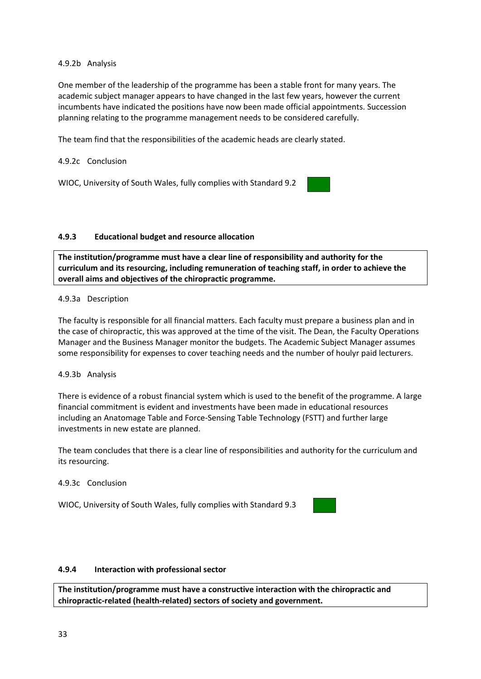#### 4.9.2b Analysis

One member of the leadership of the programme has been a stable front for many years. The academic subject manager appears to have changed in the last few years, however the current incumbents have indicated the positions have now been made official appointments. Succession planning relating to the programme management needs to be considered carefully.

The team find that the responsibilities of the academic heads are clearly stated.

#### 4.9.2c Conclusion

WIOC, University of South Wales, fully complies with Standard 9.2

#### **4.9.3 Educational budget and resource allocation**

**The institution/programme must have a clear line of responsibility and authority for the curriculum and its resourcing, including remuneration of teaching staff, in order to achieve the overall aims and objectives of the chiropractic programme.**

#### 4.9.3a Description

The faculty is responsible for all financial matters. Each faculty must prepare a business plan and in the case of chiropractic, this was approved at the time of the visit. The Dean, the Faculty Operations Manager and the Business Manager monitor the budgets. The Academic Subject Manager assumes some responsibility for expenses to cover teaching needs and the number of houlyr paid lecturers.

#### 4.9.3b Analysis

There is evidence of a robust financial system which is used to the benefit of the programme. A large financial commitment is evident and investments have been made in educational resources including an Anatomage Table and Force-Sensing Table Technology (FSTT) and further large investments in new estate are planned.

The team concludes that there is a clear line of responsibilities and authority for the curriculum and its resourcing.

#### 4.9.3c Conclusion

WIOC, University of South Wales, fully complies with Standard 9.3

| I |  | $\boldsymbol{\Lambda}$ |
|---|--|------------------------|
|   |  |                        |
|   |  |                        |

#### **4.9.4 Interaction with professional sector**

**The institution/programme must have a constructive interaction with the chiropractic and chiropractic-related (health-related) sectors of society and government.**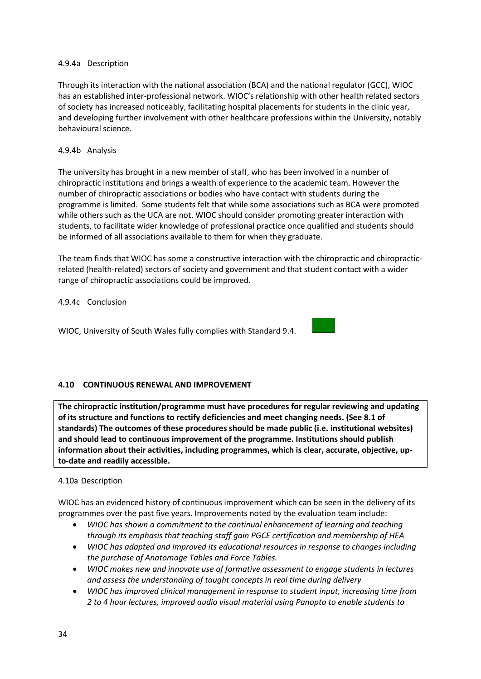#### 4.9.4a Description

Through its interaction with the national association (BCA) and the national regulator (GCC), WIOC has an established inter-professional network. WIOC's relationship with other health related sectors of society has increased noticeably, facilitating hospital placements for students in the clinic year, and developing further involvement with other healthcare professions within the University, notably behavioural science.

#### 4.9.4b Analysis

The university has brought in a new member of staff, who has been involved in a number of chiropractic institutions and brings a wealth of experience to the academic team. However the number of chiropractic associations or bodies who have contact with students during the programme is limited. Some students felt that while some associations such as BCA were promoted while others such as the UCA are not. WIOC should consider promoting greater interaction with students, to facilitate wider knowledge of professional practice once qualified and students should be informed of all associations available to them for when they graduate.

The team finds that WIOC has some a constructive interaction with the chiropractic and chiropracticrelated (health-related) sectors of society and government and that student contact with a wider range of chiropractic associations could be improved.

4.9.4c Conclusion

WIOC, University of South Wales fully complies with Standard 9.4.

#### <span id="page-33-0"></span>**4.10 CONTINUOUS RENEWAL AND IMPROVEMENT**

**The chiropractic institution/programme must have procedures for regular reviewing and updating of its structure and functions to rectify deficiencies and meet changing needs. (See 8.1 of standards) The outcomes of these procedures should be made public (i.e. institutional websites) and should lead to continuous improvement of the programme. Institutions should publish information about their activities, including programmes, which is clear, accurate, objective, upto-date and readily accessible.**

#### 4.10a Description

WIOC has an evidenced history of continuous improvement which can be seen in the delivery of its programmes over the past five years. Improvements noted by the evaluation team include:

- *WIOC has shown a commitment to the continual enhancement of learning and teaching through its emphasis that teaching staff gain PGCE certification and membership of HEA*
- *WIOC has adapted and improved its educational resources in response to changes including the purchase of Anatomage Tables and Force Tables.*
- *WIOC makes new and innovate use of formative assessment to engage students in lectures and assess the understanding of taught concepts in real time during delivery*
- *WIOC has improved clinical management in response to student input, increasing time from 2 to 4 hour lectures, improved audio visual material using Panopto to enable students to*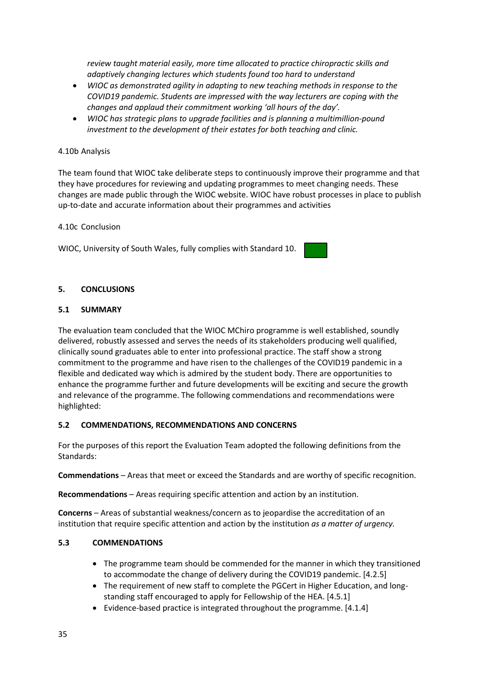*review taught material easily, more time allocated to practice chiropractic skills and adaptively changing lectures which students found too hard to understand*

- *WIOC as demonstrated agility in adapting to new teaching methods in response to the COVID19 pandemic. Students are impressed with the way lecturers are coping with the changes and applaud their commitment working 'all hours of the day'.*
- *WIOC has strategic plans to upgrade facilities and is planning a multimillion-pound investment to the development of their estates for both teaching and clinic.*

#### 4.10b Analysis

The team found that WIOC take deliberate steps to continuously improve their programme and that they have procedures for reviewing and updating programmes to meet changing needs. These changes are made public through the WIOC website. WIOC have robust processes in place to publish up-to-date and accurate information about their programmes and activities

#### 4.10c Conclusion

WIOC, University of South Wales, fully complies with Standard 10.

#### <span id="page-34-0"></span>**5. CONCLUSIONS**

#### <span id="page-34-1"></span>**5.1 SUMMARY**

The evaluation team concluded that the WIOC MChiro programme is well established, soundly delivered, robustly assessed and serves the needs of its stakeholders producing well qualified, clinically sound graduates able to enter into professional practice. The staff show a strong commitment to the programme and have risen to the challenges of the COVID19 pandemic in a flexible and dedicated way which is admired by the student body. There are opportunities to enhance the programme further and future developments will be exciting and secure the growth and relevance of the programme. The following commendations and recommendations were highlighted:

#### <span id="page-34-2"></span>**5.2 COMMENDATIONS, RECOMMENDATIONS AND CONCERNS**

For the purposes of this report the Evaluation Team adopted the following definitions from the Standards:

**Commendations** – Areas that meet or exceed the Standards and are worthy of specific recognition.

**Recommendations** – Areas requiring specific attention and action by an institution.

**Concerns** – Areas of substantial weakness/concern as to jeopardise the accreditation of an institution that require specific attention and action by the institution *as a matter of urgency.*

#### <span id="page-34-3"></span>**5.3 COMMENDATIONS**

- The programme team should be commended for the manner in which they transitioned to accommodate the change of delivery during the COVID19 pandemic. [4.2.5]
- The requirement of new staff to complete the PGCert in Higher Education, and longstanding staff encouraged to apply for Fellowship of the HEA. [4.5.1]
- Evidence-based practice is integrated throughout the programme. [4.1.4]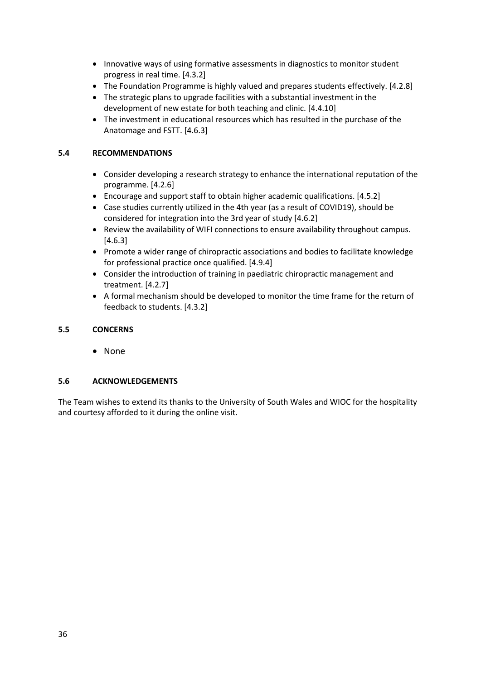- Innovative ways of using formative assessments in diagnostics to monitor student progress in real time. [4.3.2]
- The Foundation Programme is highly valued and prepares students effectively. [4.2.8]
- The strategic plans to upgrade facilities with a substantial investment in the development of new estate for both teaching and clinic. [4.4.10]
- The investment in educational resources which has resulted in the purchase of the Anatomage and FSTT. [4.6.3]

#### <span id="page-35-0"></span>**5.4 RECOMMENDATIONS**

- Consider developing a research strategy to enhance the international reputation of the programme. [4.2.6]
- Encourage and support staff to obtain higher academic qualifications. [4.5.2]
- Case studies currently utilized in the 4th year (as a result of COVID19), should be considered for integration into the 3rd year of study [4.6.2]
- Review the availability of WIFI connections to ensure availability throughout campus. [4.6.3]
- Promote a wider range of chiropractic associations and bodies to facilitate knowledge for professional practice once qualified. [4.9.4]
- Consider the introduction of training in paediatric chiropractic management and treatment. [4.2.7]
- A formal mechanism should be developed to monitor the time frame for the return of feedback to students. [4.3.2]

#### <span id="page-35-1"></span>**5.5 CONCERNS**

• None

#### <span id="page-35-2"></span>**5.6 ACKNOWLEDGEMENTS**

<span id="page-35-3"></span>The Team wishes to extend its thanks to the University of South Wales and WIOC for the hospitality and courtesy afforded to it during the online visit.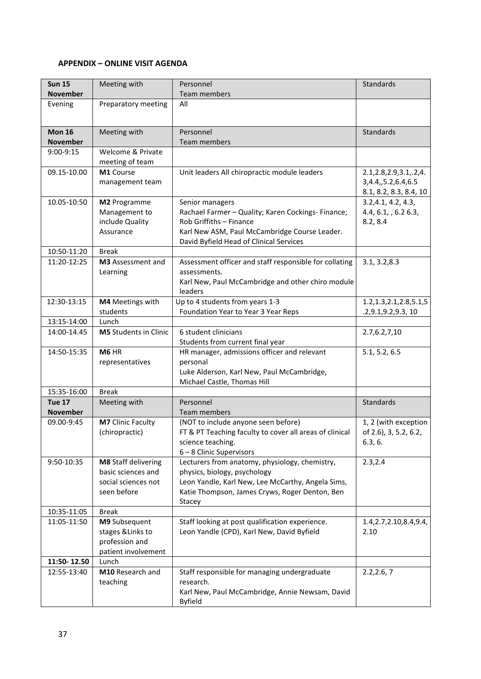#### **APPENDIX – ONLINE VISIT AGENDA**

| <b>Sun 15</b><br><b>November</b> | Meeting with                                                                           | Personnel<br>Team members                                                                                                                                                                       | Standards                                                                  |
|----------------------------------|----------------------------------------------------------------------------------------|-------------------------------------------------------------------------------------------------------------------------------------------------------------------------------------------------|----------------------------------------------------------------------------|
| Evening                          | Preparatory meeting                                                                    | All                                                                                                                                                                                             |                                                                            |
| <b>Mon 16</b><br><b>November</b> | Meeting with                                                                           | Personnel<br>Team members                                                                                                                                                                       | Standards                                                                  |
| $9:00-9:15$                      | Welcome & Private<br>meeting of team                                                   |                                                                                                                                                                                                 |                                                                            |
| 09.15-10.00                      | M1 Course<br>management team                                                           | Unit leaders All chiropractic module leaders                                                                                                                                                    | 2.1, 2.8, 2.9, 3.1, .2, 4.<br>3,4.4,,5.2,6.4,6.5<br>8.1, 8.2, 8.3, 8.4, 10 |
| 10.05-10:50                      | M2 Programme<br>Management to<br>include Quality<br>Assurance                          | Senior managers<br>Rachael Farmer - Quality; Karen Cockings- Finance;<br>Rob Griffiths - Finance<br>Karl New ASM, Paul McCambridge Course Leader.<br>David Byfield Head of Clinical Services    | 3.2, 4.1, 4.2, 4.3,<br>4.4, 6.1, , 6.2 6.3,<br>8.2, 8.4                    |
| 10:50-11:20                      | <b>Break</b>                                                                           |                                                                                                                                                                                                 |                                                                            |
| 11:20-12:25                      | M3 Assessment and<br>Learning                                                          | Assessment officer and staff responsible for collating<br>assessments.<br>Karl New, Paul McCambridge and other chiro module<br>leaders                                                          | 3.1, 3.2, 8.3                                                              |
| 12:30-13:15                      | M4 Meetings with<br>students                                                           | Up to 4 students from years 1-3<br>Foundation Year to Year 3 Year Reps                                                                                                                          | 1.2, 1.3, 2.1, 2.8, 5.1, 5<br>.2,9.1,9.2,9.3, 10                           |
| 13:15-14:00                      | Lunch                                                                                  |                                                                                                                                                                                                 |                                                                            |
| 14:00-14.45                      | <b>M5</b> Students in Clinic                                                           | 6 student clinicians<br>Students from current final year                                                                                                                                        | 2.7,6.2,7,10                                                               |
| 14:50-15:35                      | M6 HR<br>representatives                                                               | HR manager, admissions officer and relevant<br>personal<br>Luke Alderson, Karl New, Paul McCambridge,<br>Michael Castle, Thomas Hill                                                            | 5.1, 5.2, 6.5                                                              |
| 15:35-16:00                      | <b>Break</b>                                                                           |                                                                                                                                                                                                 |                                                                            |
| Tue 17<br><b>November</b>        | Meeting with                                                                           | Personnel<br><b>Team members</b>                                                                                                                                                                | Standards                                                                  |
| 09.00-9:45                       | M7 Clinic Faculty<br>(chiropractic)                                                    | (NOT to include anyone seen before)<br>FT & PT Teaching faculty to cover all areas of clinical<br>science teaching.<br>6-8 Clinic Supervisors                                                   | 1, 2 (with exception<br>of 2.6), 3, 5.2, 6.2,<br>6.3, 6.                   |
| 9:50-10:35                       | <b>M8 Staff delivering</b><br>basic sciences and<br>social sciences not<br>seen before | Lecturers from anatomy, physiology, chemistry,<br>physics, biology, psychology<br>Leon Yandle, Karl New, Lee McCarthy, Angela Sims,<br>Katie Thompson, James Cryws, Roger Denton, Ben<br>Stacey | 2.3,2.4                                                                    |
| 10:35-11:05                      | <b>Break</b>                                                                           |                                                                                                                                                                                                 |                                                                            |
| 11:05-11:50                      | M9 Subsequent<br>stages & Links to<br>profession and<br>patient involvement            | Staff looking at post qualification experience.<br>Leon Yandle (CPD), Karl New, David Byfield                                                                                                   | 1.4, 2.7, 2.10, 8.4, 9.4,<br>2.10                                          |
| 11:50-12.50                      | Lunch                                                                                  |                                                                                                                                                                                                 |                                                                            |
| 12:55-13:40                      | M10 Research and<br>teaching                                                           | Staff responsible for managing undergraduate<br>research.<br>Karl New, Paul McCambridge, Annie Newsam, David<br><b>Byfield</b>                                                                  | 2.2, 2.6, 7                                                                |